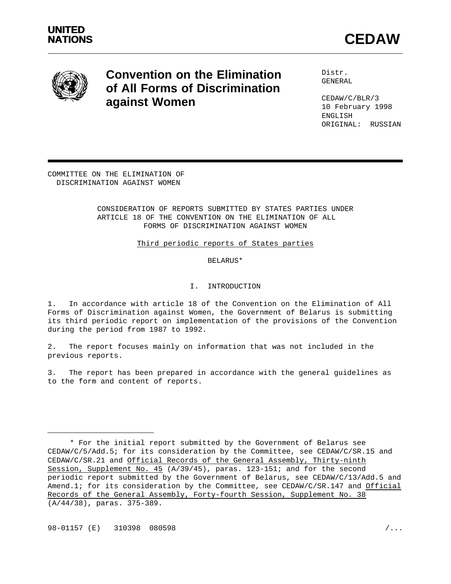



# **Convention on the Elimination** Distr. **of All Forms of Discrimination against Women**

GENERAL

CEDAW/C/BLR/3 10 February 1998 ENGLISH ORIGINAL: RUSSIAN

COMMITTEE ON THE ELIMINATION OF DISCRIMINATION AGAINST WOMEN

#### CONSIDERATION OF REPORTS SUBMITTED BY STATES PARTIES UNDER ARTICLE 18 OF THE CONVENTION ON THE ELIMINATION OF ALL FORMS OF DISCRIMINATION AGAINST WOMEN

Third periodic reports of States parties

#### BELARUS\*

## I. INTRODUCTION

1. In accordance with article 18 of the Convention on the Elimination of All Forms of Discrimination against Women, the Government of Belarus is submitting its third periodic report on implementation of the provisions of the Convention during the period from 1987 to 1992.

2. The report focuses mainly on information that was not included in the previous reports.

3. The report has been prepared in accordance with the general guidelines as to the form and content of reports.

<sup>\*</sup> For the initial report submitted by the Government of Belarus see CEDAW/C/5/Add.5; for its consideration by the Committee, see CEDAW/C/SR.15 and CEDAW/C/SR.21 and Official Records of the General Assembly, Thirty-ninth Session, Supplement No. 45 (A/39/45), paras. 123-151; and for the second periodic report submitted by the Government of Belarus, see CEDAW/C/13/Add.5 and Amend.1; for its consideration by the Committee, see CEDAW/C/SR.147 and Official Records of the General Assembly, Forty-fourth Session, Supplement No. 38 (A/44/38), paras. 375-389.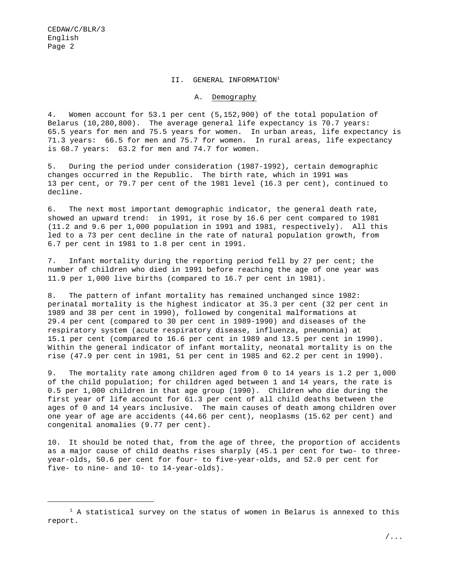#### II. GENERAL INFORMATION<sup>1</sup>

#### A. Demography

4. Women account for 53.1 per cent (5,152,900) of the total population of Belarus (10,280,800). The average general life expectancy is 70.7 years: 65.5 years for men and 75.5 years for women. In urban areas, life expectancy is 71.3 years: 66.5 for men and 75.7 for women. In rural areas, life expectancy is 68.7 years: 63.2 for men and 74.7 for women.

5. During the period under consideration (1987-1992), certain demographic changes occurred in the Republic. The birth rate, which in 1991 was 13 per cent, or 79.7 per cent of the 1981 level (16.3 per cent), continued to decline.

6. The next most important demographic indicator, the general death rate, showed an upward trend: in 1991, it rose by 16.6 per cent compared to 1981 (11.2 and 9.6 per 1,000 population in 1991 and 1981, respectively). All this led to a 73 per cent decline in the rate of natural population growth, from 6.7 per cent in 1981 to 1.8 per cent in 1991.

7. Infant mortality during the reporting period fell by 27 per cent; the number of children who died in 1991 before reaching the age of one year was 11.9 per 1,000 live births (compared to 16.7 per cent in 1981).

8. The pattern of infant mortality has remained unchanged since 1982: perinatal mortality is the highest indicator at 35.3 per cent (32 per cent in 1989 and 38 per cent in 1990), followed by congenital malformations at 29.4 per cent (compared to 30 per cent in 1989-1990) and diseases of the respiratory system (acute respiratory disease, influenza, pneumonia) at 15.1 per cent (compared to 16.6 per cent in 1989 and 13.5 per cent in 1990). Within the general indicator of infant mortality, neonatal mortality is on the rise (47.9 per cent in 1981, 51 per cent in 1985 and 62.2 per cent in 1990).

9. The mortality rate among children aged from 0 to 14 years is 1.2 per 1,000 of the child population; for children aged between 1 and 14 years, the rate is 0.5 per 1,000 children in that age group (1990). Children who die during the first year of life account for 61.3 per cent of all child deaths between the ages of 0 and 14 years inclusive. The main causes of death among children over one year of age are accidents (44.66 per cent), neoplasms (15.62 per cent) and congenital anomalies (9.77 per cent).

10. It should be noted that, from the age of three, the proportion of accidents as a major cause of child deaths rises sharply (45.1 per cent for two- to threeyear-olds, 50.6 per cent for four- to five-year-olds, and 52.0 per cent for five- to nine- and 10- to 14-year-olds).

 $1$  A statistical survey on the status of women in Belarus is annexed to this report.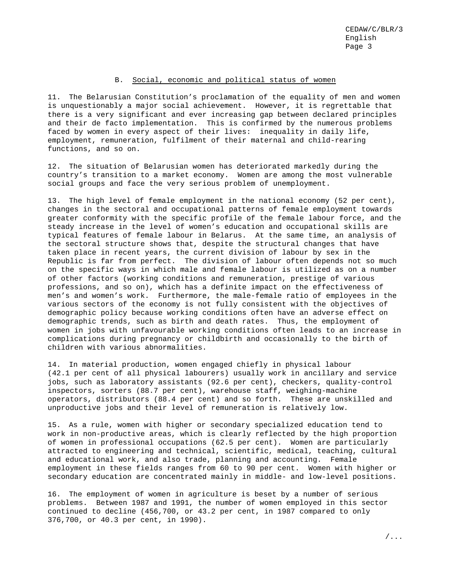#### B. Social, economic and political status of women

11. The Belarusian Constitution's proclamation of the equality of men and women is unquestionably a major social achievement. However, it is regrettable that there is a very significant and ever increasing gap between declared principles and their de facto implementation. This is confirmed by the numerous problems faced by women in every aspect of their lives: inequality in daily life, employment, remuneration, fulfilment of their maternal and child-rearing functions, and so on.

12. The situation of Belarusian women has deteriorated markedly during the country's transition to a market economy. Women are among the most vulnerable social groups and face the very serious problem of unemployment.

13. The high level of female employment in the national economy (52 per cent), changes in the sectoral and occupational patterns of female employment towards greater conformity with the specific profile of the female labour force, and the steady increase in the level of women's education and occupational skills are typical features of female labour in Belarus. At the same time, an analysis of the sectoral structure shows that, despite the structural changes that have taken place in recent years, the current division of labour by sex in the Republic is far from perfect. The division of labour often depends not so much on the specific ways in which male and female labour is utilized as on a number of other factors (working conditions and remuneration, prestige of various professions, and so on), which has a definite impact on the effectiveness of men's and women's work. Furthermore, the male-female ratio of employees in the various sectors of the economy is not fully consistent with the objectives of demographic policy because working conditions often have an adverse effect on demographic trends, such as birth and death rates. Thus, the employment of women in jobs with unfavourable working conditions often leads to an increase in complications during pregnancy or childbirth and occasionally to the birth of children with various abnormalities.

14. In material production, women engaged chiefly in physical labour (42.1 per cent of all physical labourers) usually work in ancillary and service jobs, such as laboratory assistants (92.6 per cent), checkers, quality-control inspectors, sorters (88.7 per cent), warehouse staff, weighing-machine operators, distributors (88.4 per cent) and so forth. These are unskilled and unproductive jobs and their level of remuneration is relatively low.

15. As a rule, women with higher or secondary specialized education tend to work in non-productive areas, which is clearly reflected by the high proportion of women in professional occupations (62.5 per cent). Women are particularly attracted to engineering and technical, scientific, medical, teaching, cultural and educational work, and also trade, planning and accounting. Female employment in these fields ranges from 60 to 90 per cent. Women with higher or secondary education are concentrated mainly in middle- and low-level positions.

16. The employment of women in agriculture is beset by a number of serious problems. Between 1987 and 1991, the number of women employed in this sector continued to decline (456,700, or 43.2 per cent, in 1987 compared to only 376,700, or 40.3 per cent, in 1990).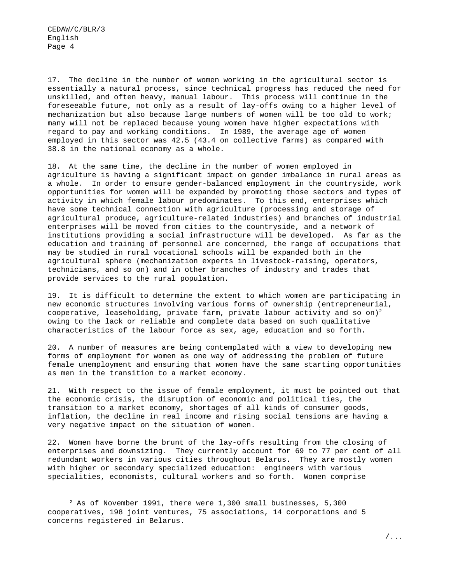17. The decline in the number of women working in the agricultural sector is essentially a natural process, since technical progress has reduced the need for unskilled, and often heavy, manual labour. This process will continue in the foreseeable future, not only as a result of lay-offs owing to a higher level of mechanization but also because large numbers of women will be too old to work; many will not be replaced because young women have higher expectations with regard to pay and working conditions. In 1989, the average age of women employed in this sector was 42.5 (43.4 on collective farms) as compared with 38.8 in the national economy as a whole.

18. At the same time, the decline in the number of women employed in agriculture is having a significant impact on gender imbalance in rural areas as a whole. In order to ensure gender-balanced employment in the countryside, work opportunities for women will be expanded by promoting those sectors and types of activity in which female labour predominates. To this end, enterprises which have some technical connection with agriculture (processing and storage of agricultural produce, agriculture-related industries) and branches of industrial enterprises will be moved from cities to the countryside, and a network of institutions providing a social infrastructure will be developed. As far as the education and training of personnel are concerned, the range of occupations that may be studied in rural vocational schools will be expanded both in the agricultural sphere (mechanization experts in livestock-raising, operators, technicians, and so on) and in other branches of industry and trades that provide services to the rural population.

19. It is difficult to determine the extent to which women are participating in new economic structures involving various forms of ownership (entrepreneurial, cooperative, leaseholding, private farm, private labour activity and so on)<sup>2</sup> owing to the lack or reliable and complete data based on such qualitative characteristics of the labour force as sex, age, education and so forth.

20. A number of measures are being contemplated with a view to developing new forms of employment for women as one way of addressing the problem of future female unemployment and ensuring that women have the same starting opportunities as men in the transition to a market economy.

21. With respect to the issue of female employment, it must be pointed out that the economic crisis, the disruption of economic and political ties, the transition to a market economy, shortages of all kinds of consumer goods, inflation, the decline in real income and rising social tensions are having a very negative impact on the situation of women.

22. Women have borne the brunt of the lay-offs resulting from the closing of enterprises and downsizing. They currently account for 69 to 77 per cent of all redundant workers in various cities throughout Belarus. They are mostly women with higher or secondary specialized education: engineers with various specialities, economists, cultural workers and so forth. Women comprise

 $^2$  As of November 1991, there were 1,300 small businesses, 5,300 cooperatives, 198 joint ventures, 75 associations, 14 corporations and 5 concerns registered in Belarus.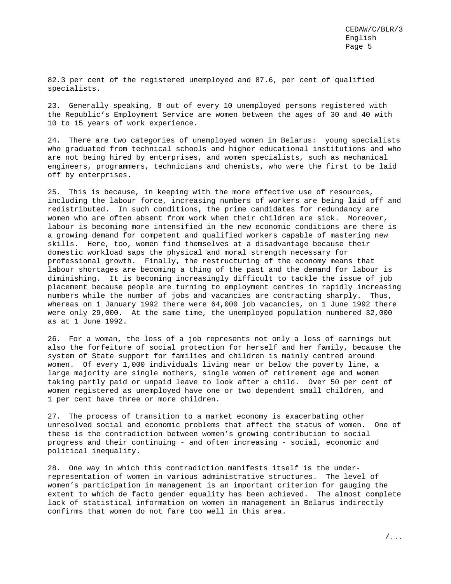82.3 per cent of the registered unemployed and 87.6, per cent of qualified specialists.

23. Generally speaking, 8 out of every 10 unemployed persons registered with the Republic's Employment Service are women between the ages of 30 and 40 with 10 to 15 years of work experience.

24. There are two categories of unemployed women in Belarus: young specialists who graduated from technical schools and higher educational institutions and who are not being hired by enterprises, and women specialists, such as mechanical engineers, programmers, technicians and chemists, who were the first to be laid off by enterprises.

25. This is because, in keeping with the more effective use of resources, including the labour force, increasing numbers of workers are being laid off and redistributed. In such conditions, the prime candidates for redundancy are women who are often absent from work when their children are sick. Moreover, labour is becoming more intensified in the new economic conditions are there is a growing demand for competent and qualified workers capable of mastering new skills. Here, too, women find themselves at a disadvantage because their domestic workload saps the physical and moral strength necessary for professional growth. Finally, the restructuring of the economy means that labour shortages are becoming a thing of the past and the demand for labour is diminishing. It is becoming increasingly difficult to tackle the issue of job placement because people are turning to employment centres in rapidly increasing numbers while the number of jobs and vacancies are contracting sharply. Thus, whereas on 1 January 1992 there were 64,000 job vacancies, on 1 June 1992 there were only 29,000. At the same time, the unemployed population numbered 32,000 as at 1 June 1992.

26. For a woman, the loss of a job represents not only a loss of earnings but also the forfeiture of social protection for herself and her family, because the system of State support for families and children is mainly centred around women. Of every 1,000 individuals living near or below the poverty line, a large majority are single mothers, single women of retirement age and women taking partly paid or unpaid leave to look after a child. Over 50 per cent of women registered as unemployed have one or two dependent small children, and 1 per cent have three or more children.

27. The process of transition to a market economy is exacerbating other unresolved social and economic problems that affect the status of women. One of these is the contradiction between women's growing contribution to social progress and their continuing - and often increasing - social, economic and political inequality.

28. One way in which this contradiction manifests itself is the underrepresentation of women in various administrative structures. The level of women's participation in management is an important criterion for gauging the extent to which de facto gender equality has been achieved. The almost complete lack of statistical information on women in management in Belarus indirectly confirms that women do not fare too well in this area.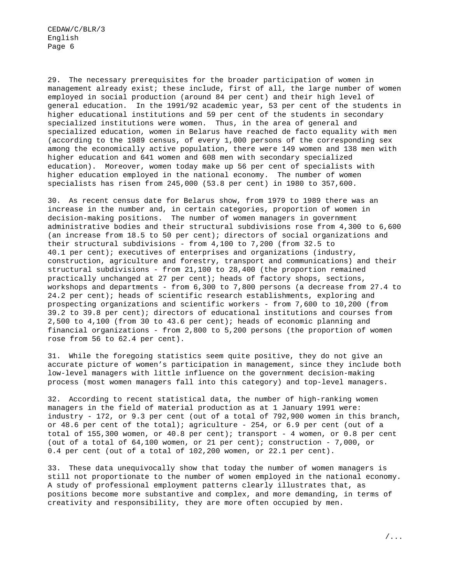29. The necessary prerequisites for the broader participation of women in management already exist; these include, first of all, the large number of women employed in social production (around 84 per cent) and their high level of general education. In the 1991/92 academic year, 53 per cent of the students in higher educational institutions and 59 per cent of the students in secondary specialized institutions were women. Thus, in the area of general and specialized education, women in Belarus have reached de facto equality with men (according to the 1989 census, of every 1,000 persons of the corresponding sex among the economically active population, there were 149 women and 138 men with higher education and 641 women and 608 men with secondary specialized education). Moreover, women today make up 56 per cent of specialists with higher education employed in the national economy. The number of women specialists has risen from 245,000 (53.8 per cent) in 1980 to 357,600.

30. As recent census date for Belarus show, from 1979 to 1989 there was an increase in the number and, in certain categories, proportion of women in decision-making positions. The number of women managers in government administrative bodies and their structural subdivisions rose from 4,300 to 6,600 (an increase from 18.5 to 50 per cent); directors of social organizations and their structural subdivisions - from 4,100 to 7,200 (from 32.5 to 40.1 per cent); executives of enterprises and organizations (industry, construction, agriculture and forestry, transport and communications) and their structural subdivisions - from 21,100 to 28,400 (the proportion remained practically unchanged at 27 per cent); heads of factory shops, sections, workshops and departments - from 6,300 to 7,800 persons (a decrease from 27.4 to 24.2 per cent); heads of scientific research establishments, exploring and prospecting organizations and scientific workers - from 7,600 to 10,200 (from 39.2 to 39.8 per cent); directors of educational institutions and courses from 2,500 to 4,100 (from 30 to 43.6 per cent); heads of economic planning and financial organizations - from 2,800 to 5,200 persons (the proportion of women rose from 56 to 62.4 per cent).

31. While the foregoing statistics seem quite positive, they do not give an accurate picture of women's participation in management, since they include both low-level managers with little influence on the government decision-making process (most women managers fall into this category) and top-level managers.

32. According to recent statistical data, the number of high-ranking women managers in the field of material production as at 1 January 1991 were: industry - 172, or 9.3 per cent (out of a total of 792,900 women in this branch, or  $48.6$  per cent of the total); agriculture - 254, or  $6.9$  per cent (out of a total of  $155,300$  women, or  $40.8$  per cent); transport - 4 women, or 0.8 per cent (out of a total of 64,100 women, or 21 per cent); construction - 7,000, or 0.4 per cent (out of a total of 102,200 women, or 22.1 per cent).

33. These data unequivocally show that today the number of women managers is still not proportionate to the number of women employed in the national economy. A study of professional employment patterns clearly illustrates that, as positions become more substantive and complex, and more demanding, in terms of creativity and responsibility, they are more often occupied by men.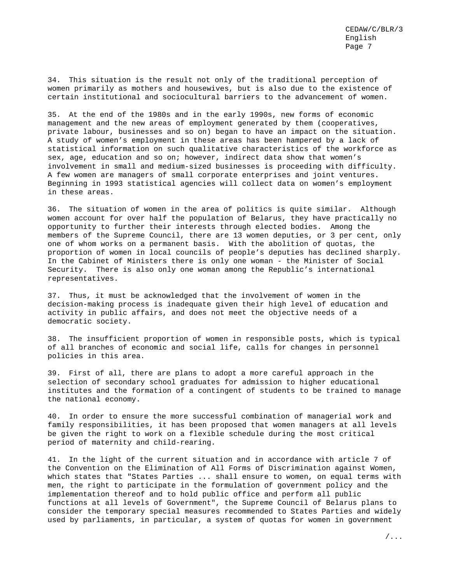34. This situation is the result not only of the traditional perception of women primarily as mothers and housewives, but is also due to the existence of certain institutional and sociocultural barriers to the advancement of women.

35. At the end of the 1980s and in the early 1990s, new forms of economic management and the new areas of employment generated by them (cooperatives, private labour, businesses and so on) began to have an impact on the situation. A study of women's employment in these areas has been hampered by a lack of statistical information on such qualitative characteristics of the workforce as sex, age, education and so on; however, indirect data show that women's involvement in small and medium-sized businesses is proceeding with difficulty. A few women are managers of small corporate enterprises and joint ventures. Beginning in 1993 statistical agencies will collect data on women's employment in these areas.

36. The situation of women in the area of politics is quite similar. Although women account for over half the population of Belarus, they have practically no opportunity to further their interests through elected bodies. Among the members of the Supreme Council, there are 13 women deputies, or 3 per cent, only one of whom works on a permanent basis. With the abolition of quotas, the proportion of women in local councils of people's deputies has declined sharply. In the Cabinet of Ministers there is only one woman - the Minister of Social Security. There is also only one woman among the Republic's international representatives.

37. Thus, it must be acknowledged that the involvement of women in the decision-making process is inadequate given their high level of education and activity in public affairs, and does not meet the objective needs of a democratic society.

38. The insufficient proportion of women in responsible posts, which is typical of all branches of economic and social life, calls for changes in personnel policies in this area.

39. First of all, there are plans to adopt a more careful approach in the selection of secondary school graduates for admission to higher educational institutes and the formation of a contingent of students to be trained to manage the national economy.

40. In order to ensure the more successful combination of managerial work and family responsibilities, it has been proposed that women managers at all levels be given the right to work on a flexible schedule during the most critical period of maternity and child-rearing.

41. In the light of the current situation and in accordance with article 7 of the Convention on the Elimination of All Forms of Discrimination against Women, which states that "States Parties ... shall ensure to women, on equal terms with men, the right to participate in the formulation of government policy and the implementation thereof and to hold public office and perform all public functions at all levels of Government", the Supreme Council of Belarus plans to consider the temporary special measures recommended to States Parties and widely used by parliaments, in particular, a system of quotas for women in government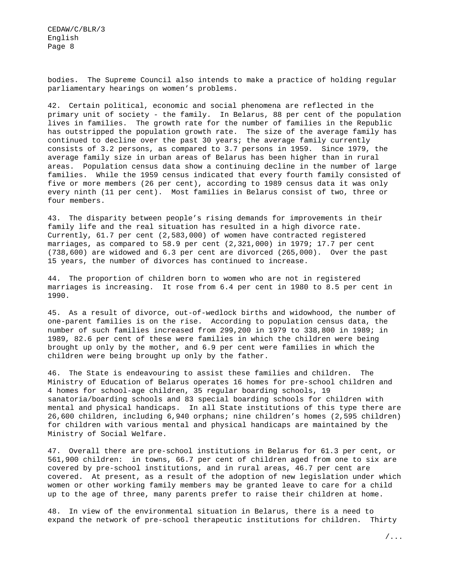bodies. The Supreme Council also intends to make a practice of holding regular parliamentary hearings on women's problems.

42. Certain political, economic and social phenomena are reflected in the primary unit of society - the family. In Belarus, 88 per cent of the population lives in families. The growth rate for the number of families in the Republic has outstripped the population growth rate. The size of the average family has continued to decline over the past 30 years; the average family currently consists of 3.2 persons, as compared to 3.7 persons in 1959. Since 1979, the average family size in urban areas of Belarus has been higher than in rural areas. Population census data show a continuing decline in the number of large families. While the 1959 census indicated that every fourth family consisted of five or more members (26 per cent), according to 1989 census data it was only every ninth (11 per cent). Most families in Belarus consist of two, three or four members.

43. The disparity between people's rising demands for improvements in their family life and the real situation has resulted in a high divorce rate. Currently, 61.7 per cent (2,583,000) of women have contracted registered marriages, as compared to 58.9 per cent (2,321,000) in 1979; 17.7 per cent (738,600) are widowed and 6.3 per cent are divorced (265,000). Over the past 15 years, the number of divorces has continued to increase.

44. The proportion of children born to women who are not in registered marriages is increasing. It rose from 6.4 per cent in 1980 to 8.5 per cent in 1990.

45. As a result of divorce, out-of-wedlock births and widowhood, the number of one-parent families is on the rise. According to population census data, the number of such families increased from 299,200 in 1979 to 338,800 in 1989; in 1989, 82.6 per cent of these were families in which the children were being brought up only by the mother, and 6.9 per cent were families in which the children were being brought up only by the father.

46. The State is endeavouring to assist these families and children. The Ministry of Education of Belarus operates 16 homes for pre-school children and 4 homes for school-age children, 35 regular boarding schools, 19 sanatoria/boarding schools and 83 special boarding schools for children with mental and physical handicaps. In all State institutions of this type there are 26,600 children, including 6,940 orphans; nine children's homes (2,595 children) for children with various mental and physical handicaps are maintained by the Ministry of Social Welfare.

47. Overall there are pre-school institutions in Belarus for 61.3 per cent, or 561,900 children: in towns, 66.7 per cent of children aged from one to six are covered by pre-school institutions, and in rural areas, 46.7 per cent are covered. At present, as a result of the adoption of new legislation under which women or other working family members may be granted leave to care for a child up to the age of three, many parents prefer to raise their children at home.

48. In view of the environmental situation in Belarus, there is a need to expand the network of pre-school therapeutic institutions for children. Thirty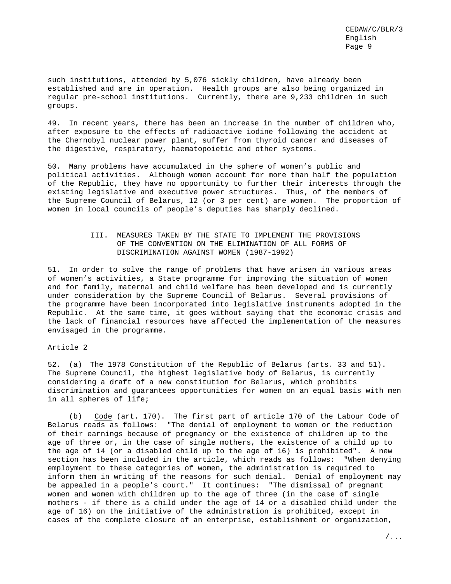such institutions, attended by 5,076 sickly children, have already been established and are in operation. Health groups are also being organized in regular pre-school institutions. Currently, there are 9,233 children in such groups.

49. In recent years, there has been an increase in the number of children who, after exposure to the effects of radioactive iodine following the accident at the Chernobyl nuclear power plant, suffer from thyroid cancer and diseases of the digestive, respiratory, haematopoietic and other systems.

50. Many problems have accumulated in the sphere of women's public and political activities. Although women account for more than half the population of the Republic, they have no opportunity to further their interests through the existing legislative and executive power structures. Thus, of the members of the Supreme Council of Belarus, 12 (or 3 per cent) are women. The proportion of women in local councils of people's deputies has sharply declined.

#### III. MEASURES TAKEN BY THE STATE TO IMPLEMENT THE PROVISIONS OF THE CONVENTION ON THE ELIMINATION OF ALL FORMS OF DISCRIMINATION AGAINST WOMEN (1987-1992)

51. In order to solve the range of problems that have arisen in various areas of women's activities, a State programme for improving the situation of women and for family, maternal and child welfare has been developed and is currently under consideration by the Supreme Council of Belarus. Several provisions of the programme have been incorporated into legislative instruments adopted in the Republic. At the same time, it goes without saying that the economic crisis and the lack of financial resources have affected the implementation of the measures envisaged in the programme.

#### Article 2

52. (a) The 1978 Constitution of the Republic of Belarus (arts. 33 and 51). The Supreme Council, the highest legislative body of Belarus, is currently considering a draft of a new constitution for Belarus, which prohibits discrimination and guarantees opportunities for women on an equal basis with men in all spheres of life;

(b) Code (art. 170). The first part of article 170 of the Labour Code of Belarus reads as follows: "The denial of employment to women or the reduction of their earnings because of pregnancy or the existence of children up to the age of three or, in the case of single mothers, the existence of a child up to the age of 14 (or a disabled child up to the age of 16) is prohibited". A new section has been included in the article, which reads as follows: "When denying employment to these categories of women, the administration is required to inform them in writing of the reasons for such denial. Denial of employment may be appealed in a people's court." It continues: "The dismissal of pregnant women and women with children up to the age of three (in the case of single mothers - if there is a child under the age of 14 or a disabled child under the age of 16) on the initiative of the administration is prohibited, except in cases of the complete closure of an enterprise, establishment or organization,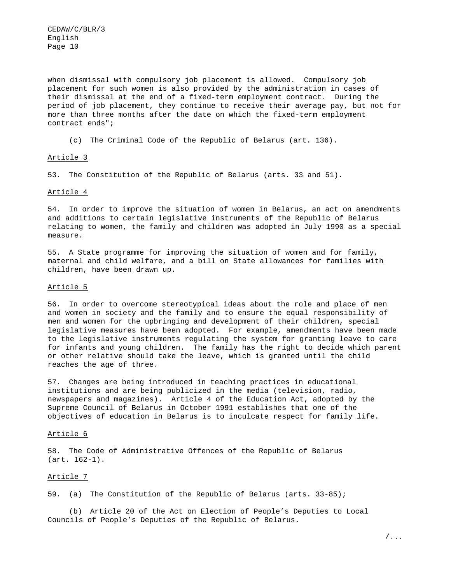when dismissal with compulsory job placement is allowed. Compulsory job placement for such women is also provided by the administration in cases of their dismissal at the end of a fixed-term employment contract. During the period of job placement, they continue to receive their average pay, but not for more than three months after the date on which the fixed-term employment contract ends";

(c) The Criminal Code of the Republic of Belarus (art. 136).

#### Article 3

53. The Constitution of the Republic of Belarus (arts. 33 and 51).

#### Article 4

54. In order to improve the situation of women in Belarus, an act on amendments and additions to certain legislative instruments of the Republic of Belarus relating to women, the family and children was adopted in July 1990 as a special measure.

55. A State programme for improving the situation of women and for family, maternal and child welfare, and a bill on State allowances for families with children, have been drawn up.

#### Article 5

56. In order to overcome stereotypical ideas about the role and place of men and women in society and the family and to ensure the equal responsibility of men and women for the upbringing and development of their children, special legislative measures have been adopted. For example, amendments have been made to the legislative instruments regulating the system for granting leave to care for infants and young children. The family has the right to decide which parent or other relative should take the leave, which is granted until the child reaches the age of three.

57. Changes are being introduced in teaching practices in educational institutions and are being publicized in the media (television, radio, newspapers and magazines). Article 4 of the Education Act, adopted by the Supreme Council of Belarus in October 1991 establishes that one of the objectives of education in Belarus is to inculcate respect for family life.

#### Article 6

58. The Code of Administrative Offences of the Republic of Belarus (art. 162-1).

#### Article 7

59. (a) The Constitution of the Republic of Belarus (arts. 33-85);

(b) Article 20 of the Act on Election of People's Deputies to Local Councils of People's Deputies of the Republic of Belarus.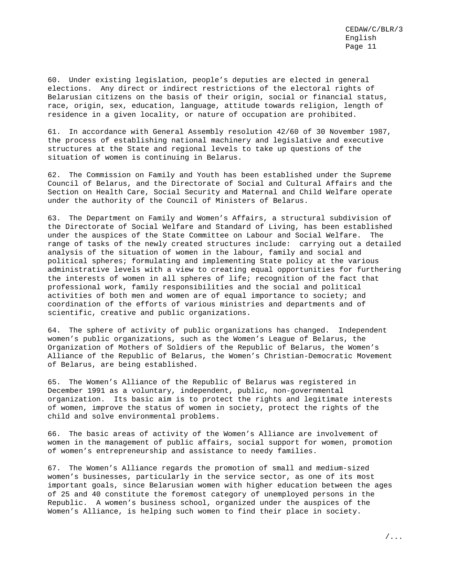60. Under existing legislation, people's deputies are elected in general elections. Any direct or indirect restrictions of the electoral rights of Belarusian citizens on the basis of their origin, social or financial status, race, origin, sex, education, language, attitude towards religion, length of residence in a given locality, or nature of occupation are prohibited.

61. In accordance with General Assembly resolution 42/60 of 30 November 1987, the process of establishing national machinery and legislative and executive structures at the State and regional levels to take up questions of the situation of women is continuing in Belarus.

62. The Commission on Family and Youth has been established under the Supreme Council of Belarus, and the Directorate of Social and Cultural Affairs and the Section on Health Care, Social Security and Maternal and Child Welfare operate under the authority of the Council of Ministers of Belarus.

63. The Department on Family and Women's Affairs, a structural subdivision of the Directorate of Social Welfare and Standard of Living, has been established under the auspices of the State Committee on Labour and Social Welfare. The range of tasks of the newly created structures include: carrying out a detailed analysis of the situation of women in the labour, family and social and political spheres; formulating and implementing State policy at the various administrative levels with a view to creating equal opportunities for furthering the interests of women in all spheres of life; recognition of the fact that professional work, family responsibilities and the social and political activities of both men and women are of equal importance to society; and coordination of the efforts of various ministries and departments and of scientific, creative and public organizations.

64. The sphere of activity of public organizations has changed. Independent women's public organizations, such as the Women's League of Belarus, the Organization of Mothers of Soldiers of the Republic of Belarus, the Women's Alliance of the Republic of Belarus, the Women's Christian-Democratic Movement of Belarus, are being established.

65. The Women's Alliance of the Republic of Belarus was registered in December 1991 as a voluntary, independent, public, non-governmental organization. Its basic aim is to protect the rights and legitimate interests of women, improve the status of women in society, protect the rights of the child and solve environmental problems.

66. The basic areas of activity of the Women's Alliance are involvement of women in the management of public affairs, social support for women, promotion of women's entrepreneurship and assistance to needy families.

67. The Women's Alliance regards the promotion of small and medium-sized women's businesses, particularly in the service sector, as one of its most important goals, since Belarusian women with higher education between the ages of 25 and 40 constitute the foremost category of unemployed persons in the Republic. A women's business school, organized under the auspices of the Women's Alliance, is helping such women to find their place in society.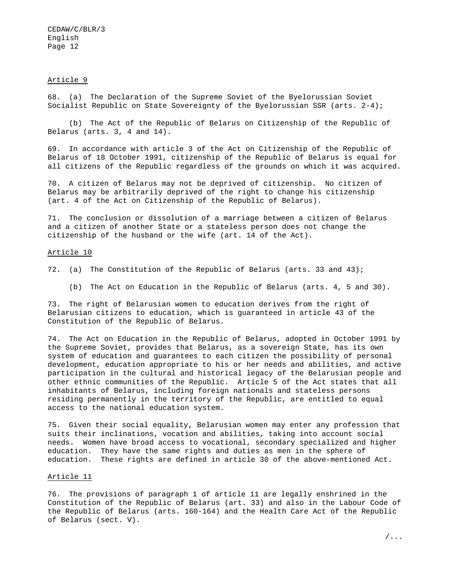#### Article 9

68. (a) The Declaration of the Supreme Soviet of the Byelorussian Soviet Socialist Republic on State Sovereignty of the Byelorussian SSR (arts. 2-4);

(b) The Act of the Republic of Belarus on Citizenship of the Republic of Belarus (arts. 3, 4 and 14).

69. In accordance with article 3 of the Act on Citizenship of the Republic of Belarus of 18 October 1991, citizenship of the Republic of Belarus is equal for all citizens of the Republic regardless of the grounds on which it was acquired.

70. A citizen of Belarus may not be deprived of citizenship. No citizen of Belarus may be arbitrarily deprived of the right to change his citizenship (art. 4 of the Act on Citizenship of the Republic of Belarus).

71. The conclusion or dissolution of a marriage between a citizen of Belarus and a citizen of another State or a stateless person does not change the citizenship of the husband or the wife (art. 14 of the Act).

#### Article 10

- 72. (a) The Constitution of the Republic of Belarus (arts. 33 and 43);
	- (b) The Act on Education in the Republic of Belarus (arts. 4, 5 and 30).

73. The right of Belarusian women to education derives from the right of Belarusian citizens to education, which is guaranteed in article 43 of the Constitution of the Republic of Belarus.

74. The Act on Education in the Republic of Belarus, adopted in October 1991 by the Supreme Soviet, provides that Belarus, as a sovereign State, has its own system of education and guarantees to each citizen the possibility of personal development, education appropriate to his or her needs and abilities, and active participation in the cultural and historical legacy of the Belarusian people and other ethnic communities of the Republic. Article 5 of the Act states that all inhabitants of Belarus, including foreign nationals and stateless persons residing permanently in the territory of the Republic, are entitled to equal access to the national education system.

75. Given their social equality, Belarusian women may enter any profession that suits their inclinations, vocation and abilities, taking into account social needs. Women have broad access to vocational, secondary specialized and higher education. They have the same rights and duties as men in the sphere of education. These rights are defined in article 30 of the above-mentioned Act.

#### Article 11

76. The provisions of paragraph 1 of article 11 are legally enshrined in the Constitution of the Republic of Belarus (art. 33) and also in the Labour Code of the Republic of Belarus (arts. 160-164) and the Health Care Act of the Republic of Belarus (sect. V).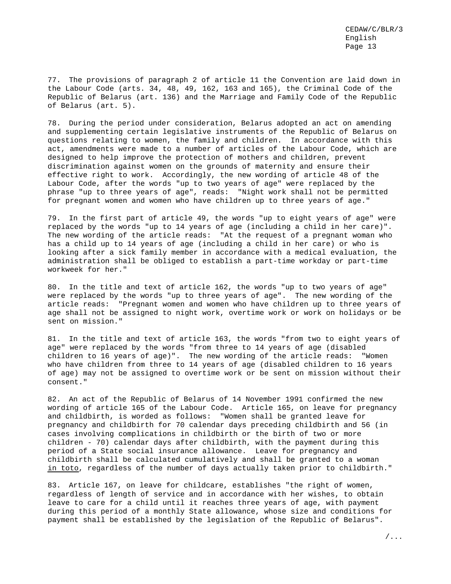77. The provisions of paragraph 2 of article 11 the Convention are laid down in the Labour Code (arts. 34, 48, 49, 162, 163 and 165), the Criminal Code of the Republic of Belarus (art. 136) and the Marriage and Family Code of the Republic of Belarus (art. 5).

78. During the period under consideration, Belarus adopted an act on amending and supplementing certain legislative instruments of the Republic of Belarus on questions relating to women, the family and children. In accordance with this act, amendments were made to a number of articles of the Labour Code, which are designed to help improve the protection of mothers and children, prevent discrimination against women on the grounds of maternity and ensure their effective right to work. Accordingly, the new wording of article 48 of the Labour Code, after the words "up to two years of age" were replaced by the phrase "up to three years of age", reads: "Night work shall not be permitted for pregnant women and women who have children up to three years of age."

79. In the first part of article 49, the words "up to eight years of age" were replaced by the words "up to 14 years of age (including a child in her care)". The new wording of the article reads: "At the request of a pregnant woman who has a child up to 14 years of age (including a child in her care) or who is looking after a sick family member in accordance with a medical evaluation, the administration shall be obliged to establish a part-time workday or part-time workweek for her."

80. In the title and text of article 162, the words "up to two years of age" were replaced by the words "up to three years of age". The new wording of the article reads: "Pregnant women and women who have children up to three years of age shall not be assigned to night work, overtime work or work on holidays or be sent on mission."

81. In the title and text of article 163, the words "from two to eight years of age" were replaced by the words "from three to 14 years of age (disabled children to 16 years of age)". The new wording of the article reads: "Women who have children from three to 14 years of age (disabled children to 16 years of age) may not be assigned to overtime work or be sent on mission without their consent."

82. An act of the Republic of Belarus of 14 November 1991 confirmed the new wording of article 165 of the Labour Code. Article 165, on leave for pregnancy and childbirth, is worded as follows: "Women shall be granted leave for pregnancy and childbirth for 70 calendar days preceding childbirth and 56 (in cases involving complications in childbirth or the birth of two or more children - 70) calendar days after childbirth, with the payment during this period of a State social insurance allowance. Leave for pregnancy and childbirth shall be calculated cumulatively and shall be granted to a woman in toto, regardless of the number of days actually taken prior to childbirth."

83. Article 167, on leave for childcare, establishes "the right of women, regardless of length of service and in accordance with her wishes, to obtain leave to care for a child until it reaches three years of age, with payment during this period of a monthly State allowance, whose size and conditions for payment shall be established by the legislation of the Republic of Belarus".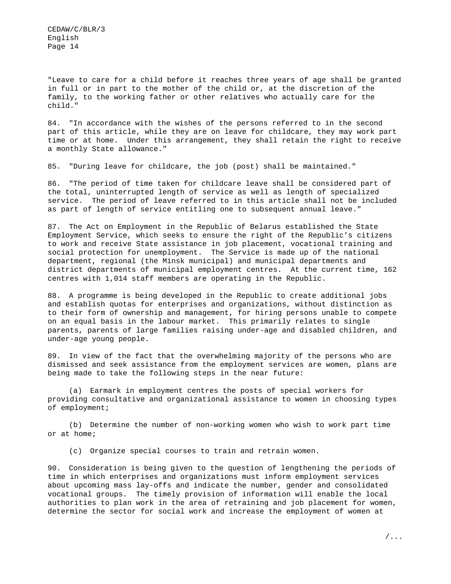"Leave to care for a child before it reaches three years of age shall be granted in full or in part to the mother of the child or, at the discretion of the family, to the working father or other relatives who actually care for the child."

84. "In accordance with the wishes of the persons referred to in the second part of this article, while they are on leave for childcare, they may work part time or at home. Under this arrangement, they shall retain the right to receive a monthly State allowance."

85. "During leave for childcare, the job (post) shall be maintained."

86. "The period of time taken for childcare leave shall be considered part of the total, uninterrupted length of service as well as length of specialized service. The period of leave referred to in this article shall not be included as part of length of service entitling one to subsequent annual leave."

87. The Act on Employment in the Republic of Belarus established the State Employment Service, which seeks to ensure the right of the Republic's citizens to work and receive State assistance in job placement, vocational training and social protection for unemployment. The Service is made up of the national department, regional (the Minsk municipal) and municipal departments and district departments of municipal employment centres. At the current time, 162 centres with 1,014 staff members are operating in the Republic.

88. A programme is being developed in the Republic to create additional jobs and establish quotas for enterprises and organizations, without distinction as to their form of ownership and management, for hiring persons unable to compete on an equal basis in the labour market. This primarily relates to single parents, parents of large families raising under-age and disabled children, and under-age young people.

89. In view of the fact that the overwhelming majority of the persons who are dismissed and seek assistance from the employment services are women, plans are being made to take the following steps in the near future:

(a) Earmark in employment centres the posts of special workers for providing consultative and organizational assistance to women in choosing types of employment;

(b) Determine the number of non-working women who wish to work part time or at home;

(c) Organize special courses to train and retrain women.

90. Consideration is being given to the question of lengthening the periods of time in which enterprises and organizations must inform employment services about upcoming mass lay-offs and indicate the number, gender and consolidated vocational groups. The timely provision of information will enable the local authorities to plan work in the area of retraining and job placement for women, determine the sector for social work and increase the employment of women at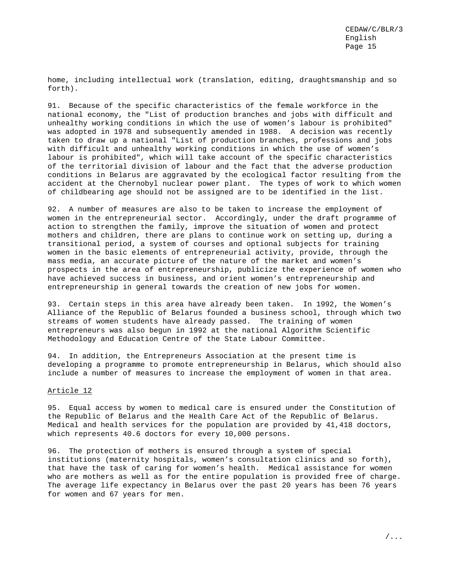home, including intellectual work (translation, editing, draughtsmanship and so forth).

91. Because of the specific characteristics of the female workforce in the national economy, the "List of production branches and jobs with difficult and unhealthy working conditions in which the use of women's labour is prohibited" was adopted in 1978 and subsequently amended in 1988. A decision was recently taken to draw up a national "List of production branches, professions and jobs with difficult and unhealthy working conditions in which the use of women's labour is prohibited", which will take account of the specific characteristics of the territorial division of labour and the fact that the adverse production conditions in Belarus are aggravated by the ecological factor resulting from the accident at the Chernobyl nuclear power plant. The types of work to which women of childbearing age should not be assigned are to be identified in the list.

92. A number of measures are also to be taken to increase the employment of women in the entrepreneurial sector. Accordingly, under the draft programme of action to strengthen the family, improve the situation of women and protect mothers and children, there are plans to continue work on setting up, during a transitional period, a system of courses and optional subjects for training women in the basic elements of entrepreneurial activity, provide, through the mass media, an accurate picture of the nature of the market and women's prospects in the area of entrepreneurship, publicize the experience of women who have achieved success in business, and orient women's entrepreneurship and entrepreneurship in general towards the creation of new jobs for women.

93. Certain steps in this area have already been taken. In 1992, the Women's Alliance of the Republic of Belarus founded a business school, through which two streams of women students have already passed. The training of women entrepreneurs was also begun in 1992 at the national Algorithm Scientific Methodology and Education Centre of the State Labour Committee.

94. In addition, the Entrepreneurs Association at the present time is developing a programme to promote entrepreneurship in Belarus, which should also include a number of measures to increase the employment of women in that area.

#### Article 12

95. Equal access by women to medical care is ensured under the Constitution of the Republic of Belarus and the Health Care Act of the Republic of Belarus. Medical and health services for the population are provided by 41,418 doctors, which represents 40.6 doctors for every 10,000 persons.

96. The protection of mothers is ensured through a system of special institutions (maternity hospitals, women's consultation clinics and so forth), that have the task of caring for women's health. Medical assistance for women who are mothers as well as for the entire population is provided free of charge. The average life expectancy in Belarus over the past 20 years has been 76 years for women and 67 years for men.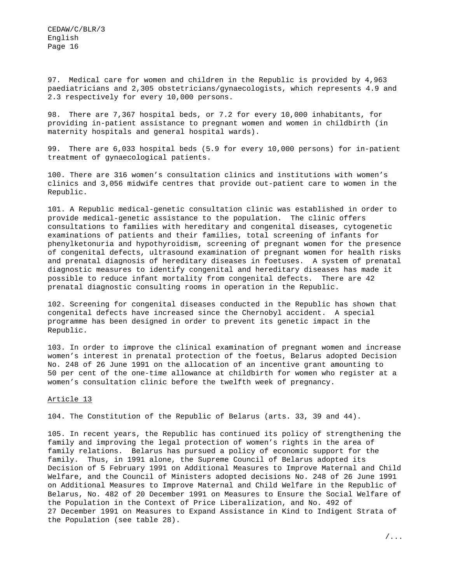97. Medical care for women and children in the Republic is provided by 4,963 paediatricians and 2,305 obstetricians/gynaecologists, which represents 4.9 and 2.3 respectively for every 10,000 persons.

98. There are 7,367 hospital beds, or 7.2 for every 10,000 inhabitants, for providing in-patient assistance to pregnant women and women in childbirth (in maternity hospitals and general hospital wards).

99. There are 6,033 hospital beds (5.9 for every 10,000 persons) for in-patient treatment of gynaecological patients.

100. There are 316 women's consultation clinics and institutions with women's clinics and 3,056 midwife centres that provide out-patient care to women in the Republic.

101. A Republic medical-genetic consultation clinic was established in order to provide medical-genetic assistance to the population. The clinic offers consultations to families with hereditary and congenital diseases, cytogenetic examinations of patients and their families, total screening of infants for phenylketonuria and hypothyroidism, screening of pregnant women for the presence of congenital defects, ultrasound examination of pregnant women for health risks and prenatal diagnosis of hereditary diseases in foetuses. A system of prenatal diagnostic measures to identify congenital and hereditary diseases has made it possible to reduce infant mortality from congenital defects. There are 42 prenatal diagnostic consulting rooms in operation in the Republic.

102. Screening for congenital diseases conducted in the Republic has shown that congenital defects have increased since the Chernobyl accident. A special programme has been designed in order to prevent its genetic impact in the Republic.

103. In order to improve the clinical examination of pregnant women and increase women's interest in prenatal protection of the foetus, Belarus adopted Decision No. 248 of 26 June 1991 on the allocation of an incentive grant amounting to 50 per cent of the one-time allowance at childbirth for women who register at a women's consultation clinic before the twelfth week of pregnancy.

#### Article 13

104. The Constitution of the Republic of Belarus (arts. 33, 39 and 44).

105. In recent years, the Republic has continued its policy of strengthening the family and improving the legal protection of women's rights in the area of family relations. Belarus has pursued a policy of economic support for the family. Thus, in 1991 alone, the Supreme Council of Belarus adopted its Decision of 5 February 1991 on Additional Measures to Improve Maternal and Child Welfare, and the Council of Ministers adopted decisions No. 248 of 26 June 1991 on Additional Measures to Improve Maternal and Child Welfare in the Republic of Belarus, No. 482 of 20 December 1991 on Measures to Ensure the Social Welfare of the Population in the Context of Price Liberalization, and No. 492 of 27 December 1991 on Measures to Expand Assistance in Kind to Indigent Strata of the Population (see table 28).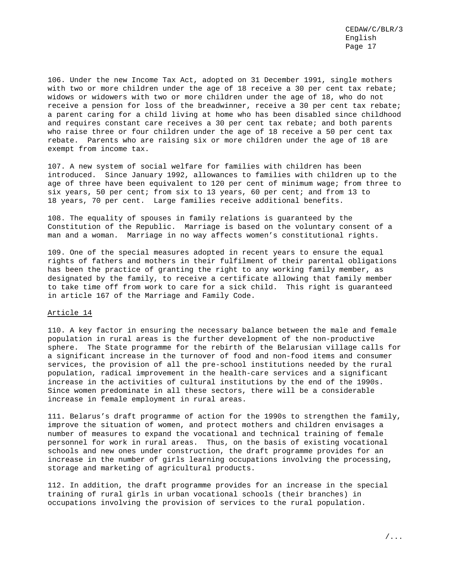106. Under the new Income Tax Act, adopted on 31 December 1991, single mothers with two or more children under the age of 18 receive a 30 per cent tax rebate; widows or widowers with two or more children under the age of 18, who do not receive a pension for loss of the breadwinner, receive a 30 per cent tax rebate; a parent caring for a child living at home who has been disabled since childhood and requires constant care receives a 30 per cent tax rebate; and both parents who raise three or four children under the age of 18 receive a 50 per cent tax rebate. Parents who are raising six or more children under the age of 18 are exempt from income tax.

107. A new system of social welfare for families with children has been introduced. Since January 1992, allowances to families with children up to the age of three have been equivalent to 120 per cent of minimum wage; from three to six years, 50 per cent; from six to 13 years, 60 per cent; and from 13 to 18 years, 70 per cent. Large families receive additional benefits.

108. The equality of spouses in family relations is guaranteed by the Constitution of the Republic. Marriage is based on the voluntary consent of a man and a woman. Marriage in no way affects women's constitutional rights.

109. One of the special measures adopted in recent years to ensure the equal rights of fathers and mothers in their fulfilment of their parental obligations has been the practice of granting the right to any working family member, as designated by the family, to receive a certificate allowing that family member to take time off from work to care for a sick child. This right is guaranteed in article 167 of the Marriage and Family Code.

#### Article 14

110. A key factor in ensuring the necessary balance between the male and female population in rural areas is the further development of the non-productive sphere. The State programme for the rebirth of the Belarusian village calls for a significant increase in the turnover of food and non-food items and consumer services, the provision of all the pre-school institutions needed by the rural population, radical improvement in the health-care services and a significant increase in the activities of cultural institutions by the end of the 1990s. Since women predominate in all these sectors, there will be a considerable increase in female employment in rural areas.

111. Belarus's draft programme of action for the 1990s to strengthen the family, improve the situation of women, and protect mothers and children envisages a number of measures to expand the vocational and technical training of female personnel for work in rural areas. Thus, on the basis of existing vocational schools and new ones under construction, the draft programme provides for an increase in the number of girls learning occupations involving the processing, storage and marketing of agricultural products.

112. In addition, the draft programme provides for an increase in the special training of rural girls in urban vocational schools (their branches) in occupations involving the provision of services to the rural population.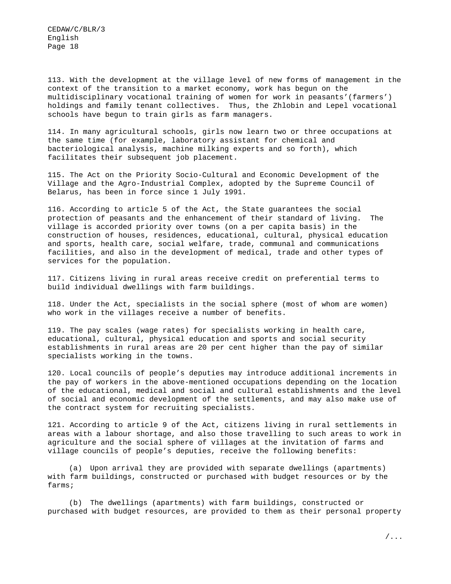113. With the development at the village level of new forms of management in the context of the transition to a market economy, work has begun on the multidisciplinary vocational training of women for work in peasants'(farmers') holdings and family tenant collectives. Thus, the Zhlobin and Lepel vocational schools have begun to train girls as farm managers.

114. In many agricultural schools, girls now learn two or three occupations at the same time (for example, laboratory assistant for chemical and bacteriological analysis, machine milking experts and so forth), which facilitates their subsequent job placement.

115. The Act on the Priority Socio-Cultural and Economic Development of the Village and the Agro-Industrial Complex, adopted by the Supreme Council of Belarus, has been in force since 1 July 1991.

116. According to article 5 of the Act, the State guarantees the social protection of peasants and the enhancement of their standard of living. The village is accorded priority over towns (on a per capita basis) in the construction of houses, residences, educational, cultural, physical education and sports, health care, social welfare, trade, communal and communications facilities, and also in the development of medical, trade and other types of services for the population.

117. Citizens living in rural areas receive credit on preferential terms to build individual dwellings with farm buildings.

118. Under the Act, specialists in the social sphere (most of whom are women) who work in the villages receive a number of benefits.

119. The pay scales (wage rates) for specialists working in health care, educational, cultural, physical education and sports and social security establishments in rural areas are 20 per cent higher than the pay of similar specialists working in the towns.

120. Local councils of people's deputies may introduce additional increments in the pay of workers in the above-mentioned occupations depending on the location of the educational, medical and social and cultural establishments and the level of social and economic development of the settlements, and may also make use of the contract system for recruiting specialists.

121. According to article 9 of the Act, citizens living in rural settlements in areas with a labour shortage, and also those travelling to such areas to work in agriculture and the social sphere of villages at the invitation of farms and village councils of people's deputies, receive the following benefits:

(a) Upon arrival they are provided with separate dwellings (apartments) with farm buildings, constructed or purchased with budget resources or by the farms;

(b) The dwellings (apartments) with farm buildings, constructed or purchased with budget resources, are provided to them as their personal property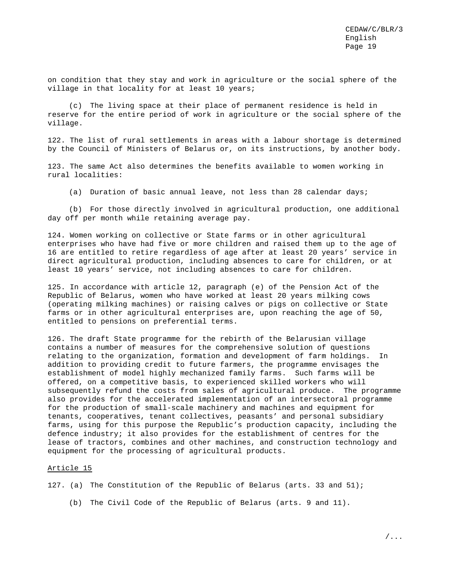on condition that they stay and work in agriculture or the social sphere of the village in that locality for at least 10 years;

(c) The living space at their place of permanent residence is held in reserve for the entire period of work in agriculture or the social sphere of the village.

122. The list of rural settlements in areas with a labour shortage is determined by the Council of Ministers of Belarus or, on its instructions, by another body.

123. The same Act also determines the benefits available to women working in rural localities:

(a) Duration of basic annual leave, not less than 28 calendar days;

(b) For those directly involved in agricultural production, one additional day off per month while retaining average pay.

124. Women working on collective or State farms or in other agricultural enterprises who have had five or more children and raised them up to the age of 16 are entitled to retire regardless of age after at least 20 years' service in direct agricultural production, including absences to care for children, or at least 10 years' service, not including absences to care for children.

125. In accordance with article 12, paragraph (e) of the Pension Act of the Republic of Belarus, women who have worked at least 20 years milking cows (operating milking machines) or raising calves or pigs on collective or State farms or in other agricultural enterprises are, upon reaching the age of 50, entitled to pensions on preferential terms.

126. The draft State programme for the rebirth of the Belarusian village contains a number of measures for the comprehensive solution of questions relating to the organization, formation and development of farm holdings. In addition to providing credit to future farmers, the programme envisages the establishment of model highly mechanized family farms. Such farms will be offered, on a competitive basis, to experienced skilled workers who will subsequently refund the costs from sales of agricultural produce. The programme also provides for the accelerated implementation of an intersectoral programme for the production of small-scale machinery and machines and equipment for tenants, cooperatives, tenant collectives, peasants' and personal subsidiary farms, using for this purpose the Republic's production capacity, including the defence industry; it also provides for the establishment of centres for the lease of tractors, combines and other machines, and construction technology and equipment for the processing of agricultural products.

#### Article 15

127. (a) The Constitution of the Republic of Belarus (arts. 33 and 51);

(b) The Civil Code of the Republic of Belarus (arts. 9 and 11).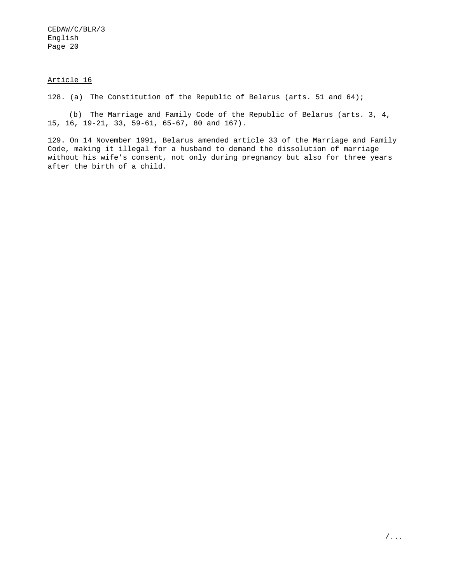#### Article 16

128. (a) The Constitution of the Republic of Belarus (arts. 51 and 64);

(b) The Marriage and Family Code of the Republic of Belarus (arts. 3, 4, 15, 16, 19-21, 33, 59-61, 65-67, 80 and 167).

129. On 14 November 1991, Belarus amended article 33 of the Marriage and Family Code, making it illegal for a husband to demand the dissolution of marriage without his wife's consent, not only during pregnancy but also for three years after the birth of a child.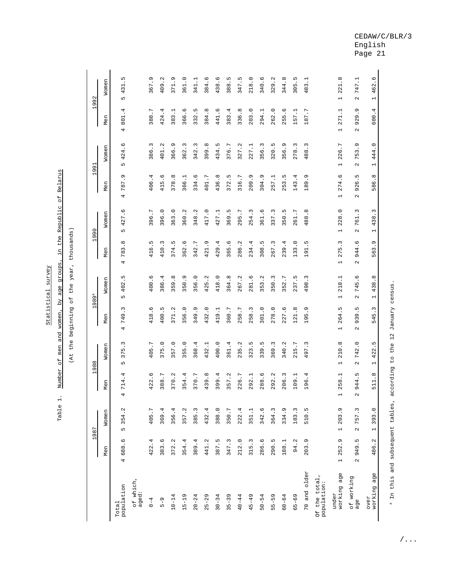|                             |                                       | 1987                              | $\blacksquare$                      | 988                               | $\mathbf -$                          | .989ª                          |                                                            | 1990                                                     |                                                  | 1991                                                        |                                       | 1992                                              |
|-----------------------------|---------------------------------------|-----------------------------------|-------------------------------------|-----------------------------------|--------------------------------------|--------------------------------|------------------------------------------------------------|----------------------------------------------------------|--------------------------------------------------|-------------------------------------------------------------|---------------------------------------|---------------------------------------------------|
|                             | Men                                   | Women                             | Men                                 | Women                             | Men                                  | Women                          | Men                                                        | Women                                                    | Men                                              | Women                                                       | Men                                   | Women                                             |
| population<br>Total         | O<br>688.<br>4                        | 354.2<br>Б                        | 4<br>4<br>$\overline{71}$<br>4      | ω<br>LN<br>$\overline{37}$<br>Б   | ω<br>c<br>74<br>4                    | Б<br>402<br>LŊ                 | ${}^{\infty}$<br>ω<br>${}^{\infty}$<br>$\overline{ }$<br>4 | O<br>427.<br>Б                                           | Ō<br>$\cdot$<br>787<br>4                         | O<br>424<br>Б                                               | 4<br>801<br>4                         | Б<br>431<br>Б                                     |
| of which,<br>aged:          |                                       |                                   |                                     |                                   |                                      |                                |                                                            |                                                          |                                                  |                                                             |                                       |                                                   |
| $0 - 4$                     | 4<br>422.                             | 405.7                             | O<br>422.                           | 405.7                             | 9.<br>418                            | G<br>400.                      | Б<br>416                                                   | $\overline{ }$<br>396.                                   | 4<br>$\cdot$<br>406                              | 3<br>386                                                    | L<br>$\cdot$<br>388                   | G<br>367                                          |
| $5 - 9$                     | G<br>383.1                            | 369.4                             | 388.7                               | 375.0                             | LN.<br>400.                          | 4<br>386.                      | $\sim$<br>410.                                             | $\circ$<br>396.                                          | $\ddot{\circ}$<br>415.                           | $\mathbf{\Omega}$<br>$\cdot$<br>401                         | 4<br>424.                             | $\ddot{\phantom{0}}$<br>409                       |
| $10 - 14$                   | $\mathbf{\Omega}$<br>372.             | 356.4                             | $\mathbf{\Omega}$<br>370.           | 357.0                             | 371.2                                | ${}^{\circ}$<br>359.           | <u>ی</u><br>374                                            | $\circ$<br>363.                                          | $\infty$<br>378                                  | Ō<br>366                                                    | Ļ.<br>383                             | ر.<br>.<br>371                                    |
| $15 - 19$                   | 354.4                                 | 357.2                             | 4.<br>354.                          | 355.0                             | 356.0                                | G<br>350.                      | 9.<br>362                                                  | 360.2                                                    | 366.1                                            | $\omega$<br>$\cdot$<br>362                                  | O<br>366.                             | 361.0                                             |
| $20 - 24$                   | 389.4                                 | 385.3                             | 370.7                               | 368.4                             | 349.9                                | $\circ$<br>56.<br>$\infty$     | Γ.<br>342.                                                 | 348.2                                                    | 334.6                                            | $\sim$<br>342                                               | Б<br>332                              | 341.1                                             |
| $25 - 29$                   | 441.2                                 | 432.4                             | 439.8                               | 432.1                             | 432.0                                | 5.2<br>42                      | ر.<br>.<br>421                                             | 417.0                                                    | 401.7                                            | $\ddot{\circ}$<br>399                                       | $^\infty$<br>384.                     | 9.<br>384                                         |
| $30 - 34$                   | LN<br>387.                            | 388.0                             | 9.4<br>$\overline{39}$              | 400.0                             | 419.1                                | $\circ$<br>418.                | $\ddot{ }$<br>429                                          | 427.1                                                    | 436.8                                            | ۱<br>$\cdot$<br>434                                         | O<br>441                              | 9.<br>438                                         |
| $35 - 39$                   | 347.3                                 | 350.7                             | 357.2                               | 361.4                             | 360.7                                | ${}^{\circ}$<br>364.           | 6<br>365                                                   | Б<br>369.                                                | ۱<br>372.                                        | $\overline{\phantom{0}}$<br>6<br>$\overline{37}$            | 4<br>383                              | c,<br>388                                         |
| $40 - 44$                   | 212.0                                 | 222.4                             | 226.7                               | 235.2                             | 58.7<br>$\mathbf{\Omega}$            | 267.2                          | $\ddot{\phantom{0}}$<br>286                                | L<br>295.                                                | 316.7                                            | 327.2                                                       | ${}^{\circ}$<br>336.                  | c,<br>347                                         |
| $45 - 49$                   | ω<br>$\ddot{5}$<br>$\overline{51}$    | 351.1                             | 292.1                               | LŊ<br>323.                        | 58.3<br>$\mathbf{\Omega}$            | O<br>281                       | 4.<br>234                                                  | $\omega$<br>254.                                         | $\ddot{\circ}$<br>209                            | Ë.<br>227                                                   | $\circ$<br>$\cdot$<br>203.            | $\circ$ .<br>218                                  |
| $50 - 54$                   | 286.6                                 | 342.6                             | 288.6                               | 339.5                             | 301.0                                | 3.2<br>m<br>$\infty$           | c,<br>308                                                  | 361.6                                                    | 304.9                                            | $\ddot{\cdot}$<br>356                                       | Ë.<br>294.                            | 340.6                                             |
| $55 - 59$                   | ١<br>290.                             | 364.3                             | $\mathbf{\Omega}$<br>$\cdot$<br>292 | 369.3                             | 278.0                                | 3<br>350.                      | 3<br>267.                                                  | 3<br>337.                                                | Ë.<br>257                                        | ι∩<br>320                                                   | $\circ$<br>$\cdot$<br>262             | $\ddot{\phantom{0}}$<br>329                       |
| $60 - 64$                   | H<br>188.                             | 334.9                             | $\sim$<br>$\cdot$<br>206.           | 340.2                             | 227.6                                | 352.7                          | $\ddot{ }$<br>239                                          | ۱<br>50.<br>$\sim$                                       | <u>ی</u><br>253                                  | $\sigma$<br>356                                             | G<br>255.                             | $\ddot{\circ}$<br>344.                            |
| $65 - 69$                   | 94.2                                  | 183.3                             | 109.1                               | 215.7                             | 121.8                                | L<br>237.                      | $\ddot{\circ}$<br>133                                      | 261.7                                                    | $\ddot{ }$<br>143                                | $\ddot{\cdot}$<br>278                                       | 57.1<br>$\overline{\phantom{0}}$      | 5.<br>305                                         |
| 70 and older                | Q<br>203.                             | 510.5                             | 96.4<br>$\overline{\phantom{0}}$    | 497.3                             | G<br>LN.<br>$\frac{9}{1}$            | $\sim$<br>$\ddot{\circ}$<br>49 | د.<br>191                                                  | ${}^{\circ}$<br>$\ddot{\circ}$<br>$\infty$<br>4          | $\ddot{\circ}$<br>89<br>$\overline{\phantom{0}}$ | $\sim$<br>488                                               | .87.7<br>1                            | L,<br>483                                         |
| Of the total<br>population: |                                       |                                   |                                     |                                   |                                      |                                |                                                            |                                                          |                                                  |                                                             |                                       |                                                   |
| working age<br>under        | G<br>252.<br>$\overline{\phantom{0}}$ | 203.9<br>$\overline{\phantom{0}}$ | 258.1<br>H                          | 210.8<br>$\overline{\phantom{0}}$ | Б<br>264<br>$\overline{\phantom{0}}$ | $\overline{ }$<br>218.<br>H    | 3<br>275<br>$\overline{\phantom{0}}$                       | $\circ$<br>228.<br>$\overline{\phantom{0}}$              | 274.6<br>$\overline{\phantom{0}}$                | $\overline{\phantom{0}}$<br>226<br>$\overline{\phantom{0}}$ | Ë.<br>271<br>$\overline{\phantom{0}}$ | $\ddot{\circ}$<br>221<br>$\overline{\phantom{0}}$ |
| of working<br>age           | m<br>949.<br>$\sim$                   | 757.3<br>$\mathbf{\Omega}$        | ۱<br>944.<br>$\sim$                 | 742.0<br>$\sim$                   | Б<br>G<br>ω<br>Q<br>$\mathbf{\sim}$  | O<br>745.<br>$\mathbf{\sim}$   | O<br>944<br>$\mathbf{\Omega}$                              | ω<br>$\overline{6}$<br>$\overline{ }$<br>$\mathbf{\sim}$ | Б<br>926<br>$\sim$                               | G<br>753<br>$\mathbf{\sim}$                                 | ጣ<br>929<br>$\mathbf{\Omega}$         | Ë.<br>747<br>$\sim$                               |
| working age<br>over         | 486.2                                 | 393.0<br>$\overline{a}$           | ${}^{\circ}$<br>511.                | 422.5<br>$\overline{\phantom{0}}$ | 545.3                                | 438.8<br>$\overline{ }$        | Ō<br>563                                                   | 438.3<br>$\overline{\phantom{0}}$                        | 586.8                                            | 444.0<br>$\overline{\phantom{0}}$                           | 600.4                                 | 462.6<br>$\overline{\phantom{0}}$                 |

(At the beginning of the year, thousands) (At the beginning of the year, thousands)

Table 1. Number of men and women, by age groups, in the Republic of Belarus

Statistical survey Table 1. Number of men and women, by age groups, in the Republic of Belarus

Statistical survey

a In this and subsequent tables, according to the 12 January census. In this and subsequent tables, according to the 12 January census.

CEDAW/C/BLR/3 English Page 21

/...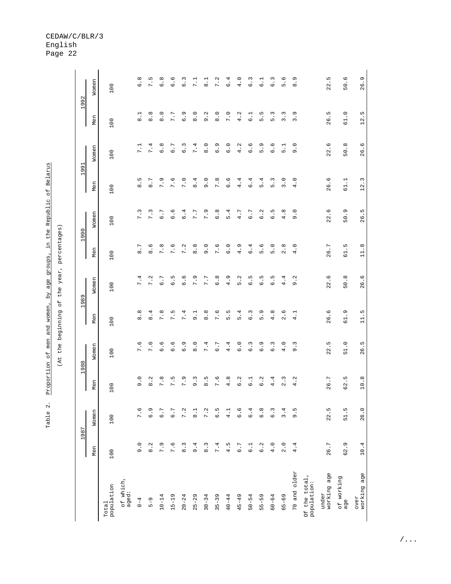Table 2. Proportion of men and women, by age groups, in the Republic of Belarus Table 2. Proportion of men and women, by age groups, in the Republic of Belarus (At the beginning of the year, percentages)

(At the beginning of the year, percentages)

| 1992 | Women | 100                 |                    | $\frac{8}{6}$             | ഥ<br>Г.<br>Г                 | $\infty$<br>$\circ$       | ە .<br>ق     | ه.<br>ه             | Ξ.<br>$\overline{ }$ | .<br>∞          | 7.2             | ÷.<br>O                   | $\frac{0}{4}$ .    | .<br>•<br>O   | $\frac{1}{6}$ | <u>ن</u> .<br>$\circ$ | 9.<br>Б         | ە.<br>.<br>${}^{\circ}$ |                              | 22.5                 | 50.6              | 26.9                |
|------|-------|---------------------|--------------------|---------------------------|------------------------------|---------------------------|--------------|---------------------|----------------------|-----------------|-----------------|---------------------------|--------------------|---------------|---------------|-----------------------|-----------------|-------------------------|------------------------------|----------------------|-------------------|---------------------|
|      | Men   | 100                 |                    | $\frac{1}{8}$             | $\frac{8}{8}$                | $\overline{8}$ .0         | 7.7          | Ō<br>.<br>ق         | $\ddot{8}$ .0        | 9.2             | $\frac{0}{8}$ . | 7.0                       | 4.2                | $\frac{1}{6}$ | 5.S           | 5.3                   | $\frac{3}{3}$ . | 3.9                     |                              | 26.5                 | 61.0              | 12.5                |
|      | Women | 100                 |                    | 7.1                       | $\ddot{ }$<br>$\overline{ }$ | $\ddot{\circ}$<br>$\circ$ | 6.7          | <u>ب</u><br>$\circ$ | <sup>4</sup><br>Γ    | $\frac{0}{8}$ . | 6.9             | $\ddot{\phantom{0}}$<br>6 | ر<br>.<br>4        | .<br>ف<br>O   | 5.9           | 9.<br>$\circ$         | $\frac{1}{5}$   | 0.6                     |                              | 22.6                 | 50.8              | 26.6                |
| 1991 | Men   | 100                 |                    | L<br>$\dot{\circ}$        | L<br>.<br>∞                  | 7.9                       | 7.6          | 7.0                 | 8.4                  | 0.6             | 7.8             | 6.6                       | 4.4                | 6.4           | 5.4           | 5.3                   | 3.0             | 4.0                     |                              | 26.6                 | 61.1              | 12.3                |
|      | Women | 100                 |                    | 7.3                       | 7.3                          | L<br>.<br>ق               | 6.6          | 6.4                 | 7.7                  | 7.9             | 6.8             | 5.4                       | 4.7                | 6.7           | 6.2           | G.5                   | 4.8             | 0.6                     |                              | 22.6                 | 50.9              | 26.5                |
| 1990 | Men   | 100                 |                    | 8.7                       | $\frac{6}{8}$                | 7.8                       | 7.6          | 7.2                 | $\frac{8}{8}$        | $\ddot{9}$ .    | 7.6             | $\overline{6}$ . 0        | 4.9                | 4.<br>$\circ$ | ە<br>ق        | $\frac{0}{5}$         | 2.8             | 4.0                     |                              | 26.7                 | 61.5              | 11.8                |
| 1989 | Women | 100                 |                    | 4<br>$\frac{1}{\sqrt{2}}$ | 7.2                          | L<br>.<br>ق               | LN<br>.<br>ق | O<br>$\ddot{\circ}$ | 7.9                  | L<br>7.         | 6.8             | Ō<br>4.                   | 5.2                | Б<br>.<br>پ   | ١<br>.<br>ق   | ١<br>.<br>ق           | 4<br>$\ddot{4}$ | 9.2                     |                              | 22.6                 | 50.8              | 26.6                |
|      | Men   | 100                 |                    | 8.8                       | 8.4                          | 7.8                       | 7.5          | 7.4                 | $-1$                 | $\frac{8}{8}$   | 7.6             | Б<br>$\frac{1}{2}$        | 5.4                | 6.3           | 5.9           | 4.8                   | 2.6             | 4.1                     |                              | 26.6                 | 61.9              | 11.5                |
| 1988 | Women | 100                 |                    | 7.6                       | 7.0                          | ە .<br>ق                  | ०.<br>०      | 6.9                 | $\frac{0}{8}$        | 7.4             | 6.7             | 4.4                       | $\overline{6}$ .0  | 6.3           | 6.9           | 6.3                   | 4.0             | 9.3                     |                              | 22.5                 | 51.0              | 26.5                |
|      | Men   | 100                 |                    | 9.0                       | 8.2                          | 7.8                       | 7.5          | 7.9                 | 9.3                  | 6.5             | 7.6             | 4.8                       | 6.2                | $\frac{1}{6}$ | 6.2           | 4.4                   | 2.3             | 4.2                     |                              | 26.7                 | 62.5              | 10.8                |
|      | Women | 100                 |                    | 7.6                       | 6.9                          | 6.7                       | 6.7          | 7.2                 | $\frac{1}{8}$        | 7.2             | 6.5             | 4.1                       | 6.6                | 6.4           | 6.8           | $\frac{3}{6}$         | 3.4             | ن<br>و                  |                              | 22.5                 | 51.5              | 26.0                |
| 1987 | Men   | 100                 |                    | 9.0                       | 8.2                          | 7.9                       | 7.6          | $\frac{3}{8}$       | 9.4                  | $\frac{3}{8}$   | 7.4             | 4.5                       | $\overline{6}$ . 7 | $\frac{1}{6}$ | 6.2           | 4.0                   | 2.0             | 4.4                     |                              | 26.7                 | 62.9              | 10.4                |
|      |       | population<br>Total | of which,<br>aged: | $0 - 4$                   | $5 - 9$                      | $10 - 14$                 | $15 - 19$    | $20 - 24$           | $25 - 29$            | $30 - 34$       | $35 - 39$       | $40 - 44$                 | $45 - 49$          | $50 - 54$     | $55 - 59$     | $60 - 64$             | $65 - 69$       | 70 and older            | Of the total,<br>population: | working age<br>under | of working<br>age | working age<br>over |

#### CEDAW/C/BLR/3 English Page 22

/...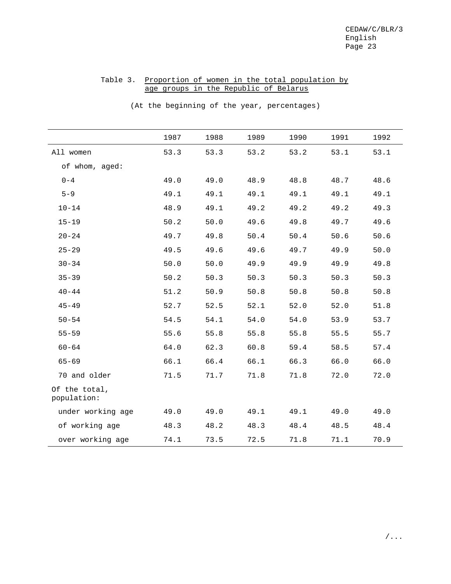## Table 3. Proportion of women in the total population by age groups in the Republic of Belarus

(At the beginning of the year, percentages)

|                              | 1987 | 1988 | 1989 | 1990 | 1991 | 1992 |
|------------------------------|------|------|------|------|------|------|
| All women                    | 53.3 | 53.3 | 53.2 | 53.2 | 53.1 | 53.1 |
| of whom, aged:               |      |      |      |      |      |      |
| $0 - 4$                      | 49.0 | 49.0 | 48.9 | 48.8 | 48.7 | 48.6 |
| $5 - 9$                      | 49.1 | 49.1 | 49.1 | 49.1 | 49.1 | 49.1 |
| $10 - 14$                    | 48.9 | 49.1 | 49.2 | 49.2 | 49.2 | 49.3 |
| $15 - 19$                    | 50.2 | 50.0 | 49.6 | 49.8 | 49.7 | 49.6 |
| $20 - 24$                    | 49.7 | 49.8 | 50.4 | 50.4 | 50.6 | 50.6 |
| $25 - 29$                    | 49.5 | 49.6 | 49.6 | 49.7 | 49.9 | 50.0 |
| $30 - 34$                    | 50.0 | 50.0 | 49.9 | 49.9 | 49.9 | 49.8 |
| $35 - 39$                    | 50.2 | 50.3 | 50.3 | 50.3 | 50.3 | 50.3 |
| $40 - 44$                    | 51.2 | 50.9 | 50.8 | 50.8 | 50.8 | 50.8 |
| $45 - 49$                    | 52.7 | 52.5 | 52.1 | 52.0 | 52.0 | 51.8 |
| $50 - 54$                    | 54.5 | 54.1 | 54.0 | 54.0 | 53.9 | 53.7 |
| $55 - 59$                    | 55.6 | 55.8 | 55.8 | 55.8 | 55.5 | 55.7 |
| $60 - 64$                    | 64.0 | 62.3 | 60.8 | 59.4 | 58.5 | 57.4 |
| $65 - 69$                    | 66.1 | 66.4 | 66.1 | 66.3 | 66.0 | 66.0 |
| 70 and older                 | 71.5 | 71.7 | 71.8 | 71.8 | 72.0 | 72.0 |
| Of the total,<br>population: |      |      |      |      |      |      |
| under working age            | 49.0 | 49.0 | 49.1 | 49.1 | 49.0 | 49.0 |
| of working age               | 48.3 | 48.2 | 48.3 | 48.4 | 48.5 | 48.4 |
| over working age             | 74.1 | 73.5 | 72.5 | 71.8 | 71.1 | 70.9 |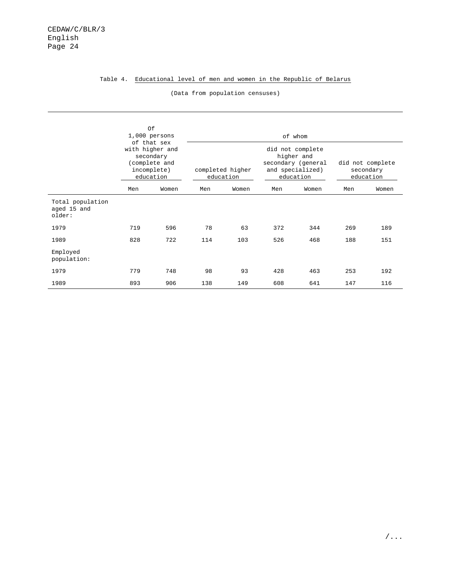#### Table 4. Educational level of men and women in the Republic of Belarus

|                                           |     | Of<br>$1,000$ persons                                                                    |     |                               |     | of whom                                                                               |     |                                            |
|-------------------------------------------|-----|------------------------------------------------------------------------------------------|-----|-------------------------------|-----|---------------------------------------------------------------------------------------|-----|--------------------------------------------|
|                                           |     | of that sex<br>with higher and<br>secondary<br>(complete and<br>incomplete)<br>education |     | completed higher<br>education |     | did not complete<br>higher and<br>secondary (general<br>and specialized)<br>education |     | did not complete<br>secondary<br>education |
|                                           | Men | Women                                                                                    | Men | Women                         | Men | Women                                                                                 | Men | Women                                      |
| Total population<br>aged 15 and<br>older: |     |                                                                                          |     |                               |     |                                                                                       |     |                                            |
| 1979                                      | 719 | 596                                                                                      | 78  | 63                            | 372 | 344                                                                                   | 269 | 189                                        |
| 1989                                      | 828 | 722                                                                                      | 114 | 103                           | 526 | 468                                                                                   | 188 | 151                                        |
| Employed<br>population:                   |     |                                                                                          |     |                               |     |                                                                                       |     |                                            |
| 1979                                      | 779 | 748                                                                                      | 98  | 93                            | 428 | 463                                                                                   | 253 | 192                                        |
| 1989                                      | 893 | 906                                                                                      | 138 | 149                           | 608 | 641                                                                                   | 147 | 116                                        |

(Data from population censuses)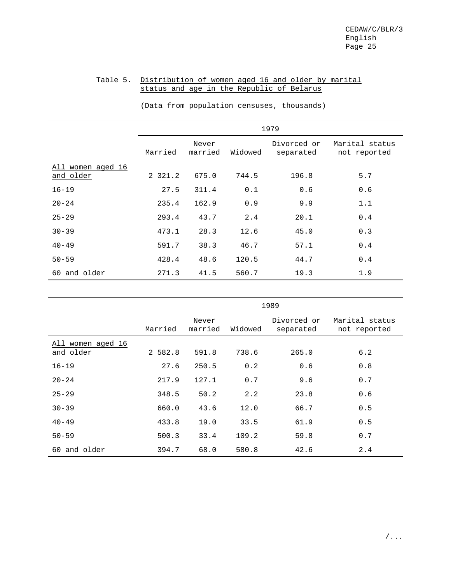## Table 5. Distribution of women aged 16 and older by marital status and age in the Republic of Belarus

|                                |         |                  |         | 1979                     |                                |
|--------------------------------|---------|------------------|---------|--------------------------|--------------------------------|
|                                | Married | Never<br>married | Widowed | Divorced or<br>separated | Marital status<br>not reported |
| All women aged 16<br>and older | 2 321.2 | 675.0            | 744.5   | 196.8                    | 5.7                            |
| $16 - 19$                      | 27.5    | 311.4            | 0.1     | 0.6                      | 0.6                            |
| $20 - 24$                      | 235.4   | 162.9            | 0.9     | 9.9                      | 1.1                            |
| $25 - 29$                      | 293.4   | 43.7             | 2.4     | 20.1                     | 0.4                            |
| $30 - 39$                      | 473.1   | 28.3             | 12.6    | 45.0                     | 0.3                            |
| $40 - 49$                      | 591.7   | 38.3             | 46.7    | 57.1                     | 0.4                            |
| $50 - 59$                      | 428.4   | 48.6             | 120.5   | 44.7                     | 0.4                            |
| 60 and older                   | 271.3   | 41.5             | 560.7   | 19.3                     | 1.9                            |

(Data from population censuses, thousands)

|                                |         |                  |         | 1989                     |                                |
|--------------------------------|---------|------------------|---------|--------------------------|--------------------------------|
|                                | Married | Never<br>married | Widowed | Divorced or<br>separated | Marital status<br>not reported |
| All women aged 16<br>and older | 2 582.8 | 591.8            | 738.6   | 265.0                    | 6.2                            |
| $16 - 19$                      | 27.6    | 250.5            | 0.2     | 0.6                      | 0.8                            |
| $20 - 24$                      | 217.9   | 127.1            | 0.7     | 9.6                      | 0.7                            |
| $25 - 29$                      | 348.5   | 50.2             | 2.2     | 23.8                     | 0.6                            |
| $30 - 39$                      | 660.0   | 43.6             | 12.0    | 66.7                     | 0.5                            |
| $40 - 49$                      | 433.8   | 19.0             | 33.5    | 61.9                     | 0.5                            |
| $50 - 59$                      | 500.3   | 33.4             | 109.2   | 59.8                     | 0.7                            |
| 60 and older                   | 394.7   | 68.0             | 580.8   | 42.6                     | 2.4                            |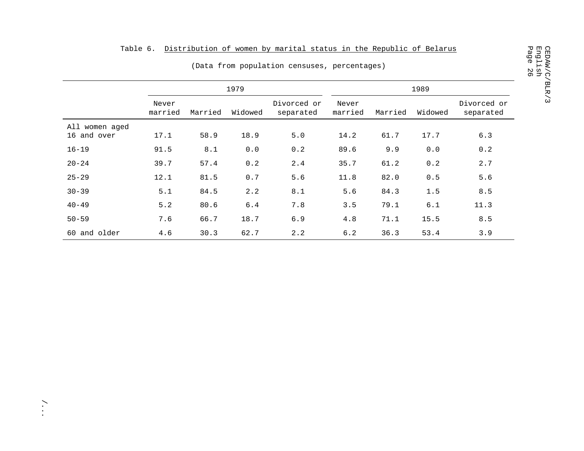|                               | Table 6.         |         |         | Distribution of women by marital status in the Republic of Belarus<br>(Data from population censuses, percentages) |                  |         |         |                          |
|-------------------------------|------------------|---------|---------|--------------------------------------------------------------------------------------------------------------------|------------------|---------|---------|--------------------------|
|                               |                  |         | 1979    |                                                                                                                    |                  |         | 1989    |                          |
|                               | Never<br>married | Married | Widowed | Divorced or<br>separated                                                                                           | Never<br>married | Married | Widowed | Divorced or<br>separated |
| All women aged<br>16 and over | 17.1             | 58.9    | 18.9    | $5.0$                                                                                                              | 14.2             | 61.7    | 17.7    | 6.3                      |
| $16 - 19$                     | 91.5             | 8.1     | 0.0     | 0.2                                                                                                                | 89.6             | 9.9     | 0.0     | 0.2                      |
| $20 - 24$                     | 39.7             | 57.4    | 0.2     | 2.4                                                                                                                | 35.7             | 61.2    | 0.2     | 2.7                      |
| $25 - 29$                     | 12.1             | 81.5    | $0.7$   | 5.6                                                                                                                | 11.8             | 82.0    | 0.5     | 5.6                      |
| $30 - 39$                     | 5.1              | 84.5    | 2.2     | 8.1                                                                                                                | 5.6              | 84.3    | 1.5     | $8.5$                    |
| $40 - 49$                     | 5.2              | 80.6    | $6.4\,$ | 7.8                                                                                                                | 3.5              | 79.1    | 6.1     | 11.3                     |
| $50 - 59$                     | 7.6              | 66.7    | 18.7    | 6.9                                                                                                                | 4.8              | 71.1    | 15.5    | 8.5                      |
| 60 and older                  | 4.6              | 30.3    | 62.7    | 2.2                                                                                                                | 6.2              | 36.3    | 53.4    | 3.9                      |

/...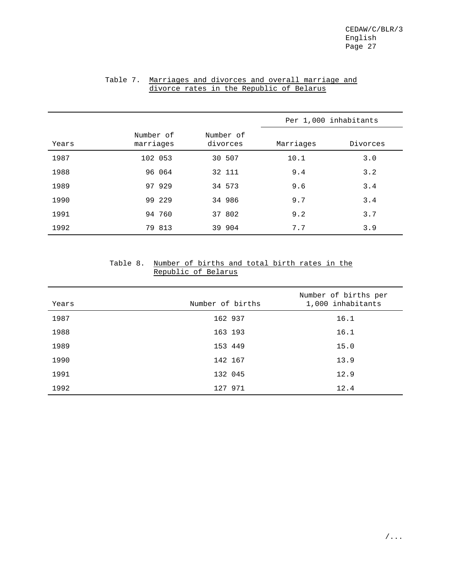|       |                        |                       | Per 1,000 inhabitants |          |
|-------|------------------------|-----------------------|-----------------------|----------|
| Years | Number of<br>marriages | Number of<br>divorces | Marriages             | Divorces |
| 1987  | 102 053                | 30 507                | 10.1                  | 3.0      |
| 1988  | 96 064                 | 32 111                | 9.4                   | 3.2      |
| 1989  | 97 929                 | 34 573                | 9.6                   | 3.4      |
| 1990  | 99 229                 | 34 986                | 9.7                   | 3.4      |
| 1991  | 94 760                 | 37 802                | 9.2                   | 3.7      |
| 1992  | 79 813                 | 39 904                | 7.7                   | 3.9      |

## Table 7. Marriages and divorces and overall marriage and divorce rates in the Republic of Belarus

## Table 8. Number of births and total birth rates in the Republic of Belarus

| Years | Number of births | Number of births per<br>1,000 inhabitants |
|-------|------------------|-------------------------------------------|
| 1987  | 162 937          | 16.1                                      |
| 1988  | 163 193          | 16.1                                      |
| 1989  | 153 449          | 15.0                                      |
| 1990  | 142 167          | 13.9                                      |
| 1991  | 132 045          | 12.9                                      |
| 1992  | 127 971          | 12.4                                      |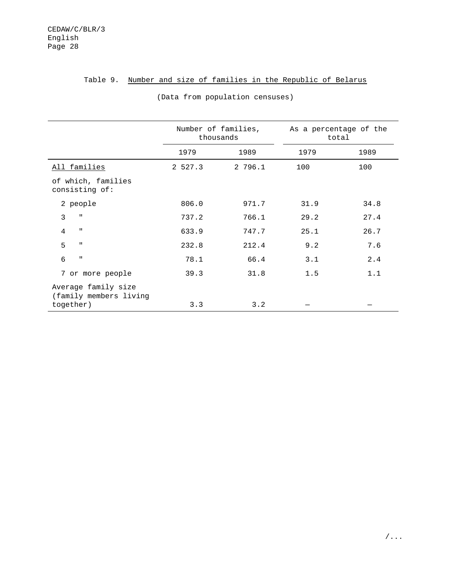## Table 9. Number and size of families in the Republic of Belarus

| 1979<br>100 | 1989 |
|-------------|------|
|             |      |
|             | 100  |
|             |      |
| 31.9        | 34.8 |
| 29.2        | 27.4 |
| 25.1        | 26.7 |
| 9.2         | 7.6  |
| 3.1         | 2.4  |
| 1.5         | 1.1  |
|             |      |
|             |      |

#### (Data from population censuses)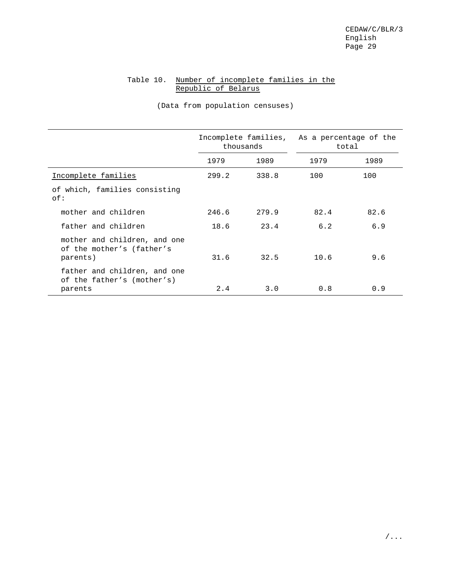## Table 10. Number of incomplete families in the Republic of Belarus

|                                                                       |       | Incomplete families,<br>thousands | As a percentage of the | total |
|-----------------------------------------------------------------------|-------|-----------------------------------|------------------------|-------|
|                                                                       | 1979  | 1989                              | 1979                   | 1989  |
| Incomplete families                                                   | 299.2 | 338.8                             | 100                    | 100   |
| of which, families consisting<br>of:                                  |       |                                   |                        |       |
| mother and children                                                   | 246.6 | 279.9                             | 82.4                   | 82.6  |
| father and children                                                   | 18.6  | 23.4                              | 6.2                    | 6.9   |
| mother and children, and one<br>of the mother's (father's<br>parents) | 31.6  | 32.5                              | 10.6                   | 9.6   |
| father and children, and one<br>of the father's (mother's)<br>parents | 2.4   | 3.0                               | 0.8                    | 0.9   |

(Data from population censuses)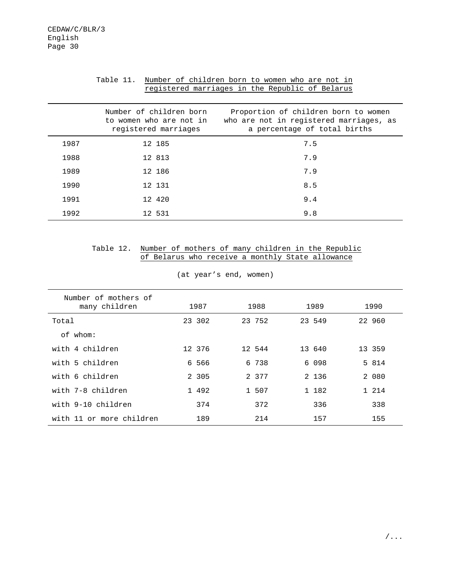#### Table 11. Number of children born to women who are not in registered marriages in the Republic of Belarus

|      | Number of children born<br>to women who are not in<br>registered marriages | Proportion of children born to women<br>who are not in registered marriages, as<br>a percentage of total births |
|------|----------------------------------------------------------------------------|-----------------------------------------------------------------------------------------------------------------|
| 1987 | 12 185                                                                     | 7.5                                                                                                             |
| 1988 | 12 813                                                                     | 7.9                                                                                                             |
| 1989 | 12 186                                                                     | 7.9                                                                                                             |
| 1990 | 12 131                                                                     | 8.5                                                                                                             |
| 1991 | 12 420                                                                     | 9.4                                                                                                             |
| 1992 | 12 531                                                                     | 9.8                                                                                                             |

## Table 12. Number of mothers of many children in the Republic of Belarus who receive a monthly State allowance

| Number of mothers of<br>many children | 1987    | 1988   | 1989    | 1990    |
|---------------------------------------|---------|--------|---------|---------|
| Total                                 | 23 302  | 23 752 | 23 549  | 22 960  |
| of whom:                              |         |        |         |         |
| with 4 children                       | 12 376  | 12 544 | 13 640  | 13 359  |
| with 5 children                       | 6 566   | 6 738  | 6 0 9 8 | 5 814   |
| with 6 children                       | 2 3 0 5 | 2 377  | 2 1 3 6 | 2 080   |
| with 7-8 children                     | 1 492   | 1 507  | 1 182   | 1 2 1 4 |
| with 9-10 children                    | 374     | 372    | 336     | 338     |
| with 11 or more children              | 189     | 214    | 157     | 155     |

(at year's end, women)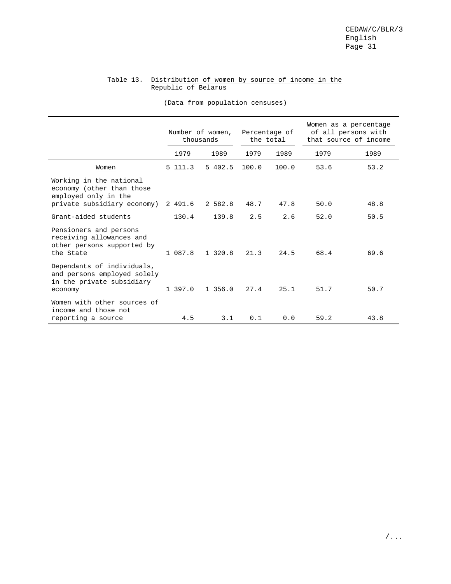## Table 13. Distribution of women by source of income in the Republic of Belarus

|                                                                                                             | Number of women,<br>thousands |          | Percentage of<br>the total |       | Women as a percentage<br>of all persons with<br>that source of income |      |
|-------------------------------------------------------------------------------------------------------------|-------------------------------|----------|----------------------------|-------|-----------------------------------------------------------------------|------|
|                                                                                                             | 1979                          | 1989     | 1979                       | 1989  | 1979                                                                  | 1989 |
| Women                                                                                                       | 5 111.3                       | 5402.5   | 100.0                      | 100.0 | 53.6                                                                  | 53.2 |
| Working in the national<br>economy (other than those<br>employed only in the<br>private subsidiary economy) | 2 491.6                       | 2 582.8  | 48.7                       | 47.8  | 50.0                                                                  | 48.8 |
| Grant-aided students                                                                                        | 130.4                         | 139.8    | 2.5                        | 2.6   | 52.0                                                                  | 50.5 |
| Pensioners and persons<br>receiving allowances and<br>other persons supported by<br>the State               | 1 087.8                       | 1 320.8  | 21.3                       | 24.5  | 68.4                                                                  | 69.6 |
| Dependants of individuals,<br>and persons employed solely<br>in the private subsidiary<br>economy           | 1 397.0                       | 1, 356.0 | 27.4                       | 25.1  | 51.7                                                                  | 50.7 |
| Women with other sources of<br>income and those not<br>reporting a source                                   | 4.5                           | 3.1      | 0.1                        | 0.0   | 59.2                                                                  | 43.8 |

(Data from population censuses)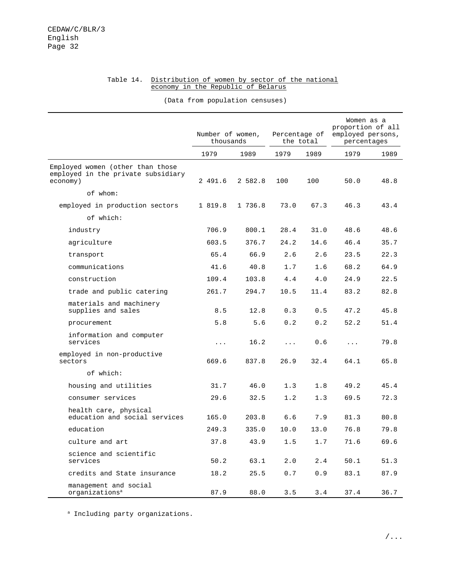#### Table 14. Distribution of women by sector of the national economy in the Republic of Belarus

(Data from population censuses)

|                                                                                    | Number of women,<br>thousands |         | Percentage of | the total | Women as a<br>proportion of all<br>employed persons,<br>percentages |      |
|------------------------------------------------------------------------------------|-------------------------------|---------|---------------|-----------|---------------------------------------------------------------------|------|
|                                                                                    | 1979                          | 1989    | 1979          | 1989      | 1979                                                                | 1989 |
| Employed women (other than those<br>employed in the private subsidiary<br>economy) | 2 491.6                       | 2 582.8 | 100           | 100       | 50.0                                                                | 48.8 |
| of whom:                                                                           |                               |         |               |           |                                                                     |      |
| employed in production sectors                                                     | 1 819.8                       | 1 736.8 | 73.0          | 67.3      | 46.3                                                                | 43.4 |
| of which:                                                                          |                               |         |               |           |                                                                     |      |
| industry                                                                           | 706.9                         | 800.1   | 28.4          | 31.0      | 48.6                                                                | 48.6 |
| agriculture                                                                        | 603.5                         | 376.7   | 24.2          | 14.6      | 46.4                                                                | 35.7 |
| transport                                                                          | 65.4                          | 66.9    | 2.6           | 2.6       | 23.5                                                                | 22.3 |
| communications                                                                     | 41.6                          | 40.8    | 1.7           | 1.6       | 68.2                                                                | 64.9 |
| construction                                                                       | 109.4                         | 103.8   | 4.4           | 4.0       | 24.9                                                                | 22.5 |
| trade and public catering                                                          | 261.7                         | 294.7   | 10.5          | 11.4      | 83.2                                                                | 82.8 |
| materials and machinery<br>supplies and sales                                      | 8.5                           | 12.8    | 0.3           | 0.5       | 47.2                                                                | 45.8 |
| procurement                                                                        | 5.8                           | 5.6     | 0.2           | 0.2       | 52.2                                                                | 51.4 |
| information and computer<br>services                                               | $\cdots$                      | 16.2    | $\cdots$      | 0.6       | $\cdots$                                                            | 79.8 |
| employed in non-productive<br>sectors                                              | 669.6                         | 837.8   | 26.9          | 32.4      | 64.1                                                                | 65.8 |
| of which:                                                                          |                               |         |               |           |                                                                     |      |
| housing and utilities                                                              | 31.7                          | 46.0    | 1.3           | 1.8       | 49.2                                                                | 45.4 |
| consumer services                                                                  | 29.6                          | 32.5    | 1.2           | 1.3       | 69.5                                                                | 72.3 |
| health care, physical<br>education and social services                             | 165.0                         | 203.8   | 6.6           | 7.9       | 81.3                                                                | 80.8 |
| education                                                                          | 249.3                         | 335.0   | 10.0          | 13.0      | 76.8                                                                | 79.8 |
| culture and art                                                                    | 37.8                          | 43.9    | 1.5           | 1.7       | 71.6                                                                | 69.6 |
| science and scientific<br>services                                                 | 50.2                          | 63.1    | 2.0           | 2.4       | 50.1                                                                | 51.3 |
| credits and State insurance                                                        | 18.2                          | 25.5    | 0.7           | 0.9       | 83.1                                                                | 87.9 |
| management and social<br>organizations <sup>a</sup>                                | 87.9                          | 88.0    | 3.5           | 3.4       | 37.4                                                                | 36.7 |

<sup>a</sup> Including party organizations.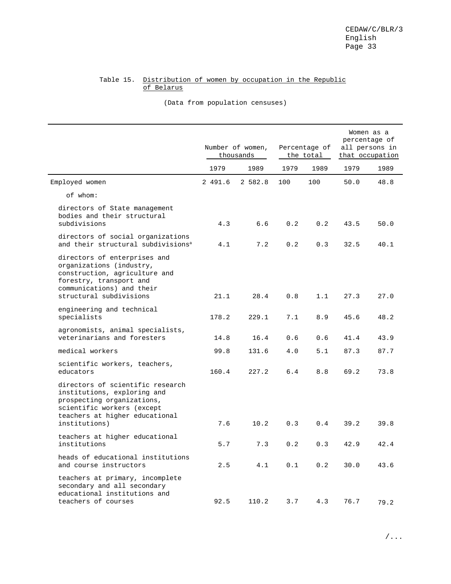## Table 15. Distribution of women by occupation in the Republic of Belarus

(Data from population censuses)

|                                                                                                                                                                                |         | Number of women,<br>thousands | Percentage of<br>the total |      | Women as a<br>percentage of<br>all persons in<br>that occupation |      |
|--------------------------------------------------------------------------------------------------------------------------------------------------------------------------------|---------|-------------------------------|----------------------------|------|------------------------------------------------------------------|------|
|                                                                                                                                                                                | 1979    | 1989                          | 1979                       | 1989 | 1979                                                             | 1989 |
| Employed women                                                                                                                                                                 | 2 491.6 | 2 582.8                       | 100                        | 100  | 50.0                                                             | 48.8 |
| of whom:                                                                                                                                                                       |         |                               |                            |      |                                                                  |      |
| directors of State management<br>bodies and their structural<br>subdivisions                                                                                                   | 4.3     | 6.6                           | 0.2                        | 0.2  | 43.5                                                             | 50.0 |
| directors of social organizations<br>and their structural subdivisions <sup>a</sup>                                                                                            | 4.1     | 7.2                           | 0.2                        | 0.3  | 32.5                                                             | 40.1 |
| directors of enterprises and<br>organizations (industry,<br>construction, agriculture and<br>forestry, transport and<br>communications) and their<br>structural subdivisions   | 21.1    | 28.4                          | 0.8                        | 1.1  | 27.3                                                             | 27.0 |
| engineering and technical<br>specialists                                                                                                                                       | 178.2   | 229.1                         | 7.1                        | 8.9  | 45.6                                                             | 48.2 |
| agronomists, animal specialists,<br>veterinarians and foresters                                                                                                                | 14.8    | 16.4                          | 0.6                        | 0.6  | 41.4                                                             | 43.9 |
| medical workers                                                                                                                                                                | 99.8    | 131.6                         | 4.0                        | 5.1  | 87.3                                                             | 87.7 |
| scientific workers, teachers,<br>educators                                                                                                                                     | 160.4   | 227.2                         | 6.4                        | 8.8  | 69.2                                                             | 73.8 |
| directors of scientific research<br>institutions, exploring and<br>prospecting organizations,<br>scientific workers (except<br>teachers at higher educational<br>institutions) | 7.6     | 10.2                          | 0.3                        | 0.4  | 39.2                                                             | 39.8 |
| teachers at higher educational<br>institutions                                                                                                                                 | 5.7     | 7.3                           | 0.2                        | 0.3  | 42.9                                                             | 42.4 |
| heads of educational institutions<br>and course instructors                                                                                                                    | 2.5     | 4.1                           | 0.1                        | 0.2  | 30.0                                                             | 43.6 |
| teachers at primary, incomplete<br>secondary and all secondary<br>educational institutions and<br>teachers of courses                                                          | 92.5    | 110.2                         | 3.7                        | 4.3  | 76.7                                                             | 79.2 |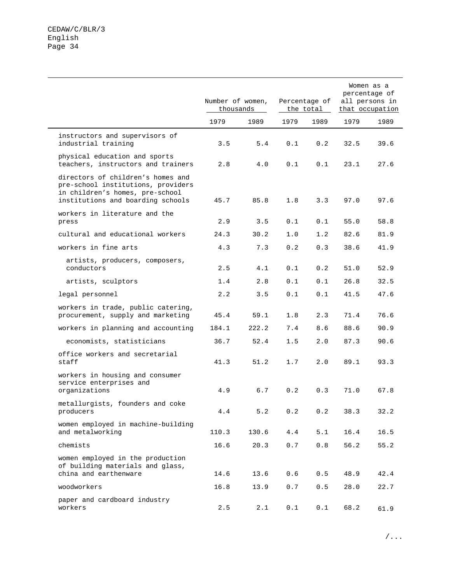|                                                                                                                                                 |       | Number of women,<br>thousands |         | Percentage of<br>the total |      |      | Women as a<br>percentage of<br>all persons in<br>that occupation |  |
|-------------------------------------------------------------------------------------------------------------------------------------------------|-------|-------------------------------|---------|----------------------------|------|------|------------------------------------------------------------------|--|
|                                                                                                                                                 | 1979  | 1989                          | 1979    | 1989                       | 1979 | 1989 |                                                                  |  |
| instructors and supervisors of<br>industrial training                                                                                           | 3.5   | 5.4                           | 0.1     | 0.2                        | 32.5 | 39.6 |                                                                  |  |
| physical education and sports<br>teachers, instructors and trainers                                                                             | 2.8   | 4.0                           | 0.1     | 0.1                        | 23.1 | 27.6 |                                                                  |  |
| directors of children's homes and<br>pre-school institutions, providers<br>in children's homes, pre-school<br>institutions and boarding schools | 45.7  | 85.8                          | 1.8     | 3.3                        | 97.0 | 97.6 |                                                                  |  |
| workers in literature and the<br>press                                                                                                          | 2.9   | 3.5                           | 0.1     | 0.1                        | 55.0 | 58.8 |                                                                  |  |
| cultural and educational workers                                                                                                                | 24.3  | 30.2                          | 1.0     | 1.2                        | 82.6 | 81.9 |                                                                  |  |
| workers in fine arts                                                                                                                            | 4.3   | 7.3                           | 0.2     | 0.3                        | 38.6 | 41.9 |                                                                  |  |
| artists, producers, composers,<br>conductors                                                                                                    | 2.5   | 4.1                           | 0.1     | 0.2                        | 51.0 | 52.9 |                                                                  |  |
| artists, sculptors                                                                                                                              | 1.4   | 2.8                           | 0.1     | 0.1                        | 26.8 | 32.5 |                                                                  |  |
| legal personnel                                                                                                                                 | 2.2   | 3.5                           | 0.1     | 0.1                        | 41.5 | 47.6 |                                                                  |  |
| workers in trade, public catering,<br>procurement, supply and marketing                                                                         | 45.4  | 59.1                          | 1.8     | 2.3                        | 71.4 | 76.6 |                                                                  |  |
| workers in planning and accounting                                                                                                              | 184.1 | 222.2                         | 7.4     | 8.6                        | 88.6 | 90.9 |                                                                  |  |
| economists, statisticians                                                                                                                       | 36.7  | 52.4                          | 1.5     | 2.0                        | 87.3 | 90.6 |                                                                  |  |
| office workers and secretarial<br>staff                                                                                                         | 41.3  | 51.2                          | 1.7     | 2.0                        | 89.1 | 93.3 |                                                                  |  |
| workers in housing and consumer<br>service enterprises and<br>organizations                                                                     | 4.9   | 6.7                           | 0.2     | 0.3                        | 71.0 | 67.8 |                                                                  |  |
| metallurgists, founders and coke<br>producers                                                                                                   | 4.4   | 5.2                           | $0.2\,$ | 0.2                        | 38.3 | 32.2 |                                                                  |  |
| women employed in machine-building<br>and metalworking                                                                                          | 110.3 | 130.6                         | 4.4     | 5.1                        | 16.4 | 16.5 |                                                                  |  |
| chemists                                                                                                                                        | 16.6  | 20.3                          | 0.7     | 0.8                        | 56.2 | 55.2 |                                                                  |  |
| women employed in the production<br>of building materials and glass,<br>china and earthenware                                                   | 14.6  | 13.6                          | $0.6$   | 0.5                        | 48.9 | 42.4 |                                                                  |  |
| woodworkers                                                                                                                                     | 16.8  | 13.9                          | 0.7     | $0.5$                      | 28.0 | 22.7 |                                                                  |  |
| paper and cardboard industry<br>workers                                                                                                         | 2.5   | 2.1                           | 0.1     | 0.1                        | 68.2 | 61.9 |                                                                  |  |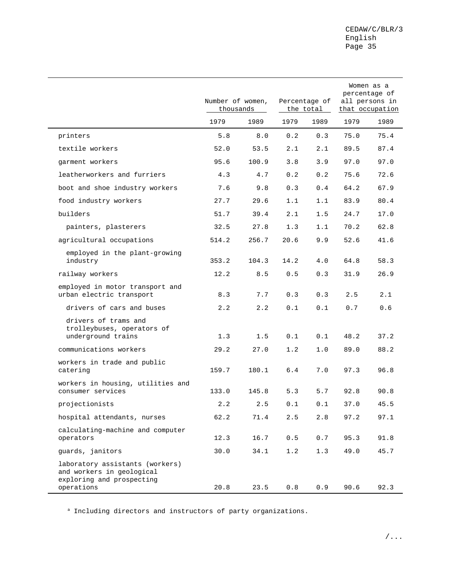|                                                                                                         | Number of women,<br>thousands |       |      | Percentage of<br>the total |      | Women as a<br>percentage of<br>all persons in<br>that occupation |
|---------------------------------------------------------------------------------------------------------|-------------------------------|-------|------|----------------------------|------|------------------------------------------------------------------|
|                                                                                                         | 1979                          | 1989  | 1979 | 1989                       | 1979 | 1989                                                             |
| printers                                                                                                | 5.8                           | 8.0   | 0.2  | 0.3                        | 75.0 | 75.4                                                             |
| textile workers                                                                                         | 52.0                          | 53.5  | 2.1  | 2.1                        | 89.5 | 87.4                                                             |
| garment workers                                                                                         | 95.6                          | 100.9 | 3.8  | 3.9                        | 97.0 | 97.0                                                             |
| leatherworkers and furriers                                                                             | 4.3                           | 4.7   | 0.2  | 0.2                        | 75.6 | 72.6                                                             |
| boot and shoe industry workers                                                                          | 7.6                           | 9.8   | 0.3  | 0.4                        | 64.2 | 67.9                                                             |
| food industry workers                                                                                   | 27.7                          | 29.6  | 1.1  | 1.1                        | 83.9 | 80.4                                                             |
| builders                                                                                                | 51.7                          | 39.4  | 2.1  | 1.5                        | 24.7 | 17.0                                                             |
| painters, plasterers                                                                                    | 32.5                          | 27.8  | 1.3  | 1.1                        | 70.2 | 62.8                                                             |
| agricultural occupations                                                                                | 514.2                         | 256.7 | 20.6 | 9.9                        | 52.6 | 41.6                                                             |
| employed in the plant-growing<br>industry                                                               | 353.2                         | 104.3 | 14.2 | 4.0                        | 64.8 | 58.3                                                             |
| railway workers                                                                                         | 12.2                          | 8.5   | 0.5  | 0.3                        | 31.9 | 26.9                                                             |
| employed in motor transport and<br>urban electric transport                                             | 8.3                           | 7.7   | 0.3  | 0.3                        | 2.5  | 2.1                                                              |
| drivers of cars and buses                                                                               | 2.2                           | 2.2   | 0.1  | 0.1                        | 0.7  | 0.6                                                              |
| drivers of trams and<br>trolleybuses, operators of<br>underground trains                                | 1.3                           | 1.5   | 0.1  | 0.1                        | 48.2 | 37.2                                                             |
| communications workers                                                                                  | 29.2                          | 27.0  | 1.2  | 1.0                        | 89.0 | 88.2                                                             |
| workers in trade and public<br>catering                                                                 | 159.7                         | 180.1 | 6.4  | 7.0                        | 97.3 | 96.8                                                             |
| workers in housing, utilities and<br>consumer services                                                  | 133.0                         | 145.8 | 5.3  | 5.7                        | 92.8 | 90.8                                                             |
| projectionists                                                                                          | 2.2                           | 2.5   | 0.1  | 0.1                        | 37.0 | 45.5                                                             |
| hospital attendants, nurses                                                                             | 62.2                          | 71.4  | 2.5  | 2.8                        | 97.2 | 97.1                                                             |
| calculating-machine and computer<br>operators                                                           | 12.3                          | 16.7  | 0.5  | 0.7                        | 95.3 | 91.8                                                             |
| guards, janitors                                                                                        | 30.0                          | 34.1  | 1.2  | 1.3                        | 49.0 | 45.7                                                             |
| laboratory assistants (workers)<br>and workers in geological<br>exploring and prospecting<br>operations | 20.8                          | 23.5  | 0.8  | 0.9                        | 90.6 | 92.3                                                             |

a Including directors and instructors of party organizations.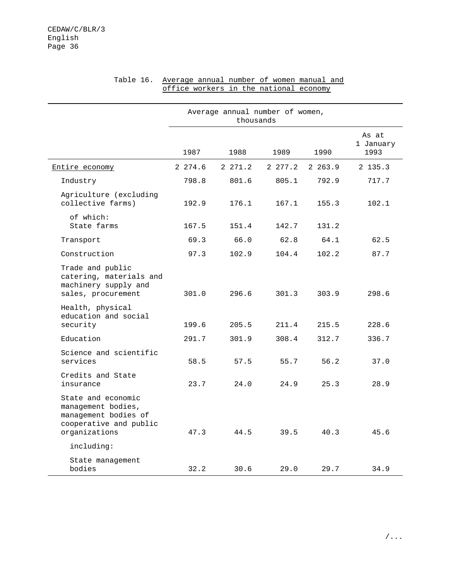|                                                                                                             | Average annual number of women,<br>thousands |           |         |         |                            |  |  |
|-------------------------------------------------------------------------------------------------------------|----------------------------------------------|-----------|---------|---------|----------------------------|--|--|
|                                                                                                             | 1987                                         | 1988      | 1989    | 1990    | As at<br>1 January<br>1993 |  |  |
| Entire economy                                                                                              | 2 274.6                                      | 2, 271, 2 | 2 277.2 | 2 263.9 | 2 135.3                    |  |  |
| Industry                                                                                                    | 798.8                                        | 801.6     | 805.1   | 792.9   | 717.7                      |  |  |
| Agriculture (excluding<br>collective farms)                                                                 | 192.9                                        | 176.1     | 167.1   | 155.3   | 102.1                      |  |  |
| of which:<br>State farms                                                                                    | 167.5                                        | 151.4     | 142.7   | 131.2   |                            |  |  |
| Transport                                                                                                   | 69.3                                         | 66.0      | 62.8    | 64.1    | 62.5                       |  |  |
| Construction                                                                                                | 97.3                                         | 102.9     | 104.4   | 102.2   | 87.7                       |  |  |
| Trade and public<br>catering, materials and<br>machinery supply and<br>sales, procurement                   | 301.0                                        | 296.6     | 301.3   | 303.9   | 298.6                      |  |  |
| Health, physical<br>education and social<br>security                                                        | 199.6                                        | 205.5     | 211.4   | 215.5   | 228.6                      |  |  |
| Education                                                                                                   | 291.7                                        | 301.9     | 308.4   | 312.7   | 336.7                      |  |  |
| Science and scientific<br>services                                                                          | 58.5                                         | 57.5      | 55.7    | 56.2    | 37.0                       |  |  |
| Credits and State<br>insurance                                                                              | 23.7                                         | 24.0      | 24.9    | 25.3    | 28.9                       |  |  |
| State and economic<br>management bodies,<br>management bodies of<br>cooperative and public<br>organizations | 47.3                                         | 44.5      | 39.5    | 40.3    | 45.6                       |  |  |
| including:                                                                                                  |                                              |           |         |         |                            |  |  |
| State management<br>bodies                                                                                  | 32.2                                         | 30.6      | 29.0    | 29.7    | 34.9                       |  |  |

#### Table 16. Average annual number of women manual and office workers in the national economy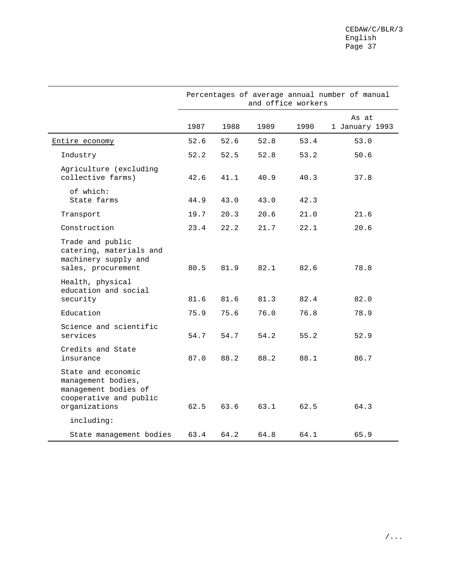|                                                                                                             |      |      |      | and office workers | Percentages of average annual number of manual |
|-------------------------------------------------------------------------------------------------------------|------|------|------|--------------------|------------------------------------------------|
|                                                                                                             | 1987 | 1988 | 1989 | 1990               | As at<br>1 January 1993                        |
| Entire economy                                                                                              | 52.6 | 52.6 | 52.8 | 53.4               | 53.0                                           |
| Industry                                                                                                    | 52.2 | 52.5 | 52.8 | 53.2               | 50.6                                           |
| Agriculture (excluding<br>collective farms)                                                                 | 42.6 | 41.1 | 40.9 | 40.3               | 37.8                                           |
| of which:<br>State farms                                                                                    | 44.9 | 43.0 | 43.0 | 42.3               |                                                |
| Transport                                                                                                   | 19.7 | 20.3 | 20.6 | 21.0               | 21.6                                           |
| Construction                                                                                                | 23.4 | 22.2 | 21.7 | 22.1               | 20.6                                           |
| Trade and public<br>catering, materials and<br>machinery supply and<br>sales, procurement                   | 80.5 | 81.9 | 82.1 | 82.6               | 78.8                                           |
| Health, physical<br>education and social<br>security                                                        | 81.6 | 81.6 | 81.3 | 82.4               | 82.0                                           |
| Education                                                                                                   | 75.9 | 75.6 | 76.0 | 76.8               | 78.9                                           |
| Science and scientific<br>services                                                                          | 54.7 | 54.7 | 54.2 | 55.2               | 52.9                                           |
| Credits and State<br>insurance                                                                              | 87.0 | 88.2 | 88.2 | 88.1               | 86.7                                           |
| State and economic<br>management bodies,<br>management bodies of<br>cooperative and public<br>organizations | 62.5 | 63.6 | 63.1 | 62.5               | 64.3                                           |
| including:                                                                                                  |      |      |      |                    |                                                |
| State management bodies                                                                                     | 63.4 | 64.2 | 64.8 | 64.1               | 65.9                                           |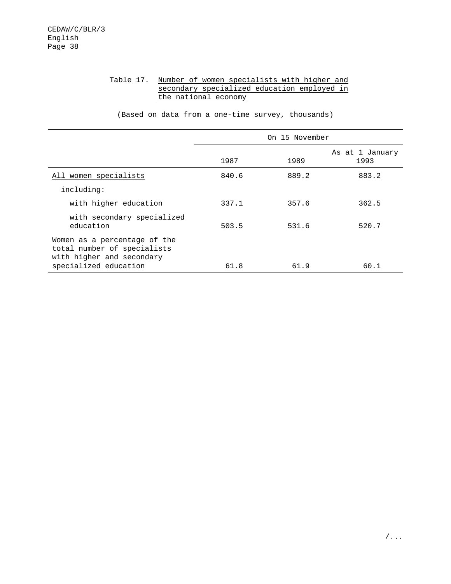## Table 17. Number of women specialists with higher and secondary specialized education employed in the national economy

(Based on data from a one-time survey, thousands)

| On 15 November |       |                         |  |  |
|----------------|-------|-------------------------|--|--|
| 1987           | 1989  | As at 1 January<br>1993 |  |  |
| 840.6          | 889.2 | 883.2                   |  |  |
|                |       |                         |  |  |
| 337.1          | 357.6 | 362.5                   |  |  |
| 503.5          | 531.6 | 520.7                   |  |  |
|                |       | 60.1                    |  |  |
|                | 61.8  | 61.9                    |  |  |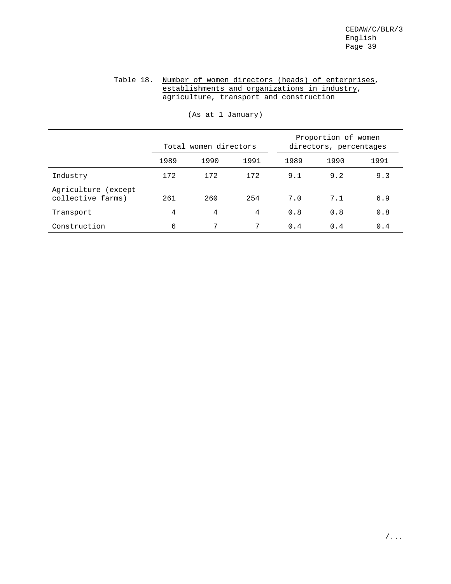## Table 18. Number of women directors (heads) of enterprises, establishments and organizations in industry, agriculture, transport and construction

|                                          |      | Total women directors |      |      | Proportion of women<br>directors, percentages |      |
|------------------------------------------|------|-----------------------|------|------|-----------------------------------------------|------|
|                                          | 1989 | 1990                  | 1991 | 1989 | 1990                                          | 1991 |
| Industry                                 | 172  | 172                   | 172  | 9.1  | 9.2                                           | 9.3  |
| Agriculture (except<br>collective farms) | 261  | 260                   | 254  | 7.0  | 7.1                                           | 6.9  |
| Transport                                | 4    | 4                     | 4    | 0.8  | 0.8                                           | 0.8  |
| Construction                             | 6    | 7                     | 7    | 0.4  | 0.4                                           | 0.4  |

(As at 1 January)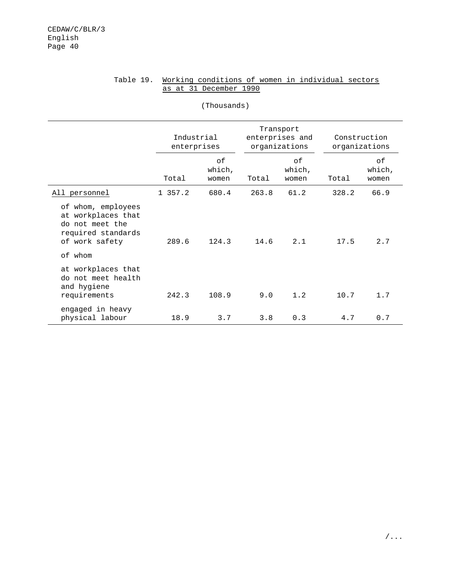|                                                                                                                | Industrial<br>enterprises |                       |       | Transport<br>enterprises and<br>organizations |       | Construction<br>organizations |
|----------------------------------------------------------------------------------------------------------------|---------------------------|-----------------------|-------|-----------------------------------------------|-------|-------------------------------|
|                                                                                                                | Total                     | of<br>which,<br>women | Total | of<br>which,<br>women                         | Total | оf<br>which,<br>women         |
| All personnel                                                                                                  | 1 357.2                   | 680.4                 | 263.8 | 61.2                                          | 328.2 | 66.9                          |
| of whom, employees<br>at workplaces that<br>do not meet the<br>required standards<br>of work safety<br>of whom | 289.6                     | 124.3                 | 14.6  | 2.1                                           | 17.5  | 2.7                           |
| at workplaces that<br>do not meet health<br>and hygiene<br>requirements                                        | 242.3                     | 108.9                 | 9.0   | 1.2                                           | 10.7  | 1.7                           |
| engaged in heavy<br>physical labour                                                                            | 18.9                      | 3.7                   | 3.8   | 0.3                                           | 4.7   | 0.7                           |

(Thousands)

## Table 19. Working conditions of women in individual sectors as at 31 December 1990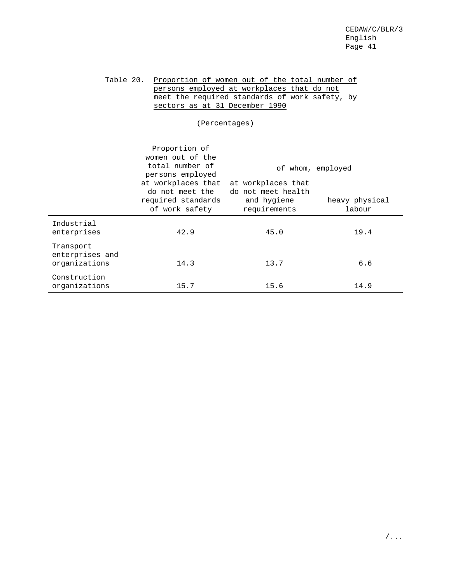## Table 20. Proportion of women out of the total number of persons employed at workplaces that do not meet the required standards of work safety, by sectors as at 31 December 1990

(Percentages)

|                                               | Proportion of<br>women out of the<br>total number of                                              |                                                                         | of whom, employed        |
|-----------------------------------------------|---------------------------------------------------------------------------------------------------|-------------------------------------------------------------------------|--------------------------|
|                                               | persons employed<br>at workplaces that<br>do not meet the<br>required standards<br>of work safety | at workplaces that<br>do not meet health<br>and hygiene<br>requirements | heavy physical<br>labour |
| Industrial<br>enterprises                     | 42.9                                                                                              | 45.0                                                                    | 19.4                     |
| Transport<br>enterprises and<br>organizations | 14.3                                                                                              | 13.7                                                                    | 6.6                      |
| Construction<br>organizations                 | 15.7                                                                                              | 15.6                                                                    | 14.9                     |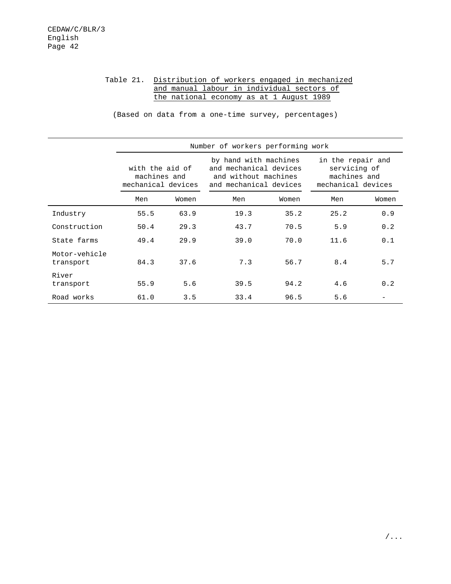## Table 21. Distribution of workers engaged in mechanized and manual labour in individual sectors of the national economy as at 1 August 1989

(Based on data from a one-time survey, percentages)

|                            |                                                       |       | Number of workers performing work                                                                 |       |                                                                         |       |  |
|----------------------------|-------------------------------------------------------|-------|---------------------------------------------------------------------------------------------------|-------|-------------------------------------------------------------------------|-------|--|
|                            | with the aid of<br>machines and<br>mechanical devices |       | by hand with machines<br>and mechanical devices<br>and without machines<br>and mechanical devices |       | in the repair and<br>servicing of<br>machines and<br>mechanical devices |       |  |
|                            | Men                                                   | Women | Men                                                                                               | Women | Men                                                                     | Women |  |
| Industry                   | 55.5                                                  | 63.9  | 19.3                                                                                              | 35.2  | 25.2                                                                    | 0.9   |  |
| Construction               | 50.4                                                  | 29.3  | 43.7                                                                                              | 70.5  | 5.9                                                                     | 0.2   |  |
| State farms                | 49.4                                                  | 29.9  | 39.0                                                                                              | 70.0  | 11.6                                                                    | 0.1   |  |
| Motor-vehicle<br>transport | 84.3                                                  | 37.6  | 7.3                                                                                               | 56.7  | 8.4                                                                     | 5.7   |  |
| River<br>transport         | 55.9                                                  | 5.6   | 39.5                                                                                              | 94.2  | 4.6                                                                     | 0.2   |  |
| Road works                 | 61.0                                                  | 3.5   | 33.4                                                                                              | 96.5  | 5.6                                                                     |       |  |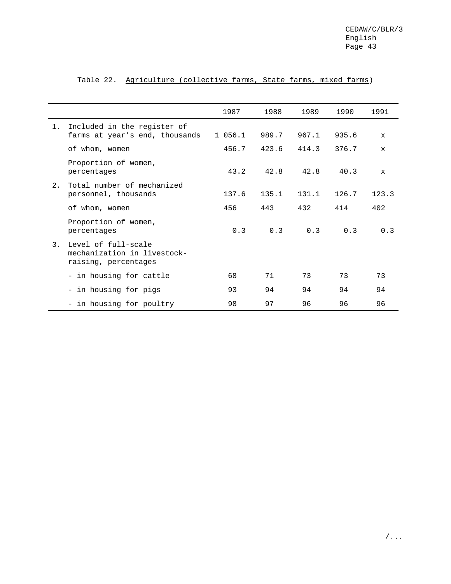|    |                                                                            | 1987   | 1988  | 1989  | 1990  | 1991         |
|----|----------------------------------------------------------------------------|--------|-------|-------|-------|--------------|
| 1. | Included in the register of<br>farms at year's end, thousands              | 1056.1 | 989.7 | 967.1 | 935.6 | $\mathbf{x}$ |
|    | of whom, women                                                             | 456.7  | 423.6 | 414.3 | 376.7 | $\mathbf{x}$ |
|    | Proportion of women,<br>percentages                                        | 43.2   | 42.8  | 42.8  | 40.3  | $\mathbf{x}$ |
| 2. | Total number of mechanized<br>personnel, thousands                         | 137.6  | 135.1 | 131.1 | 126.7 | 123.3        |
|    | of whom, women                                                             | 456    | 443   | 432   | 414   | 402          |
|    | Proportion of women,<br>percentages                                        | 0.3    | 0.3   | 0.3   | 0.3   | 0.3          |
| 3. | Level of full-scale<br>mechanization in livestock-<br>raising, percentages |        |       |       |       |              |
|    | - in housing for cattle                                                    | 68     | 71    | 73    | 73    | 73           |
|    | - in housing for pigs                                                      | 93     | 94    | 94    | 94    | 94           |
|    | - in housing for poultry                                                   | 98     | 97    | 96    | 96    | 96           |

## Table 22. Agriculture (collective farms, State farms, mixed farms)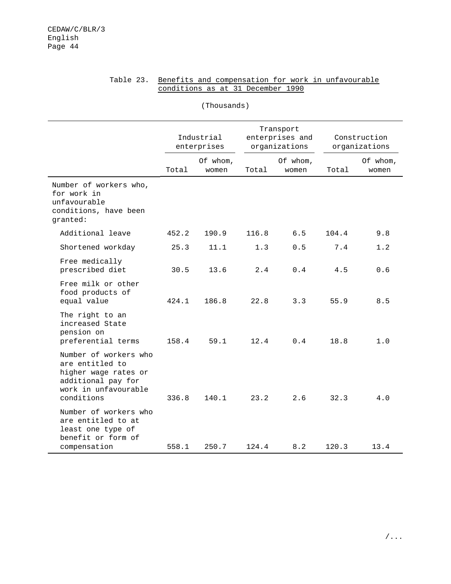|                                                                                                                              |       | (Thousands)               |       |                                               |                               |                   |
|------------------------------------------------------------------------------------------------------------------------------|-------|---------------------------|-------|-----------------------------------------------|-------------------------------|-------------------|
|                                                                                                                              |       | Industrial<br>enterprises |       | Transport<br>enterprises and<br>organizations | Construction<br>organizations |                   |
|                                                                                                                              | Total | Of whom,<br>women         | Total | Of whom,<br>women                             | Total                         | Of whom,<br>women |
| Number of workers who,<br>for work in<br>unfavourable<br>conditions, have been<br>granted:                                   |       |                           |       |                                               |                               |                   |
| Additional leave                                                                                                             | 452.2 | 190.9                     | 116.8 | 6.5                                           | 104.4                         | 9.8               |
| Shortened workday                                                                                                            | 25.3  | 11.1                      | 1.3   | 0.5                                           | 7.4                           | 1.2               |
| Free medically<br>prescribed diet                                                                                            | 30.5  | 13.6                      | 2.4   | 0.4                                           | 4.5                           | 0.6               |
| Free milk or other<br>food products of<br>equal value                                                                        | 424.1 | 186.8                     | 22.8  | 3.3                                           | 55.9                          | 8.5               |
| The right to an<br>increased State<br>pension on<br>preferential terms                                                       | 158.4 | 59.1                      | 12.4  | 0.4                                           | 18.8                          | 1.0               |
| Number of workers who<br>are entitled to<br>higher wage rates or<br>additional pay for<br>work in unfavourable<br>conditions | 336.8 | 140.1                     | 23.2  | 2.6                                           | 32.3                          | 4.0               |
| Number of workers who<br>are entitled to at<br>least one type of<br>benefit or form of<br>compensation                       | 558.1 | 250.7                     | 124.4 | 8.2                                           | 120.3                         | 13.4              |

#### Table 23. Benefits and compensation for work in unfavourable conditions as at 31 December 1990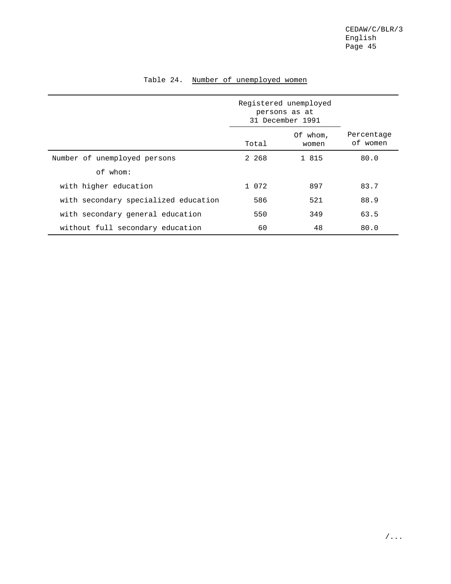|                                      |       | Registered unemployed<br>persons as at<br>31 December 1991 |                        |
|--------------------------------------|-------|------------------------------------------------------------|------------------------|
|                                      | Total | Of whom,<br>women                                          | Percentage<br>of women |
| Number of unemployed persons         | 2 268 | 1 815                                                      | 80.0                   |
| of whom:                             |       |                                                            |                        |
| with higher education                | 1 072 | 897                                                        | 83.7                   |
| with secondary specialized education | 586   | 521                                                        | 88.9                   |
| with secondary general education     | 550   | 349                                                        | 63.5                   |
| without full secondary education     | 60    | 48                                                         | 80.0                   |

## Table 24. Number of unemployed women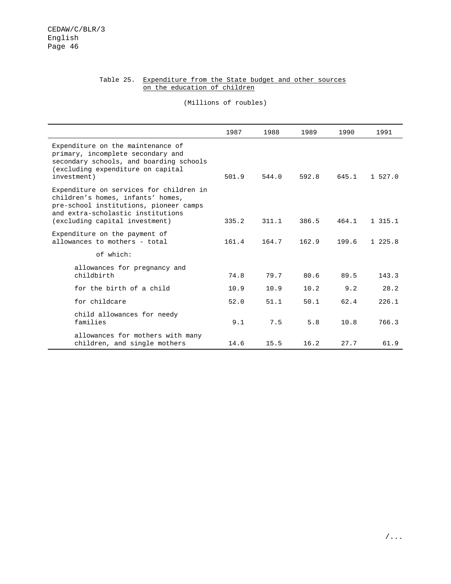## Table 25. Expenditure from the State budget and other sources on the education of children

(Millions of roubles)

|                                                                                                                                                                                               | 1987  | 1988  | 1989  | 1990  | 1991     |
|-----------------------------------------------------------------------------------------------------------------------------------------------------------------------------------------------|-------|-------|-------|-------|----------|
| Expenditure on the maintenance of<br>primary, incomplete secondary and<br>secondary schools, and boarding schools<br>(excluding expenditure on capital<br>investment)                         | 501.9 | 544.0 | 592.8 | 645.1 | 1, 527.0 |
| Expenditure on services for children in<br>children's homes, infants' homes,<br>pre-school institutions, pioneer camps<br>and extra-scholastic institutions<br>(excluding capital investment) | 335.2 | 311.1 | 386.5 | 464.1 | 1 315.1  |
| Expenditure on the payment of<br>allowances to mothers - total                                                                                                                                | 161.4 | 164.7 | 162.9 | 199.6 | 1, 225.8 |
| of which:                                                                                                                                                                                     |       |       |       |       |          |
| allowances for pregnancy and<br>childbirth                                                                                                                                                    | 74.8  | 79.7  | 80.6  | 89.5  | 143.3    |
| for the birth of a child                                                                                                                                                                      | 10.9  | 10.9  | 10.2  | 9.2   | 28.2     |
| for childcare                                                                                                                                                                                 | 52.0  | 51.1  | 50.1  | 62.4  | 226.1    |
| child allowances for needy<br>families                                                                                                                                                        | 9.1   | 7.5   | 5.8   | 10.8  | 766.3    |
| allowances for mothers with many<br>children, and single mothers                                                                                                                              | 14.6  | 15.5  | 16.2  | 27.7  | 61.9     |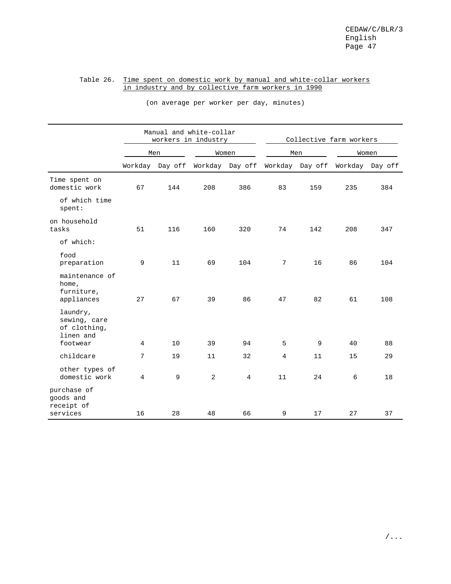#### Table 26. Time spent on domestic work by manual and white-collar workers in industry and by collective farm workers in 1990

|                                                       |    |                 | Manual and white-collar<br>workers in industry |                 | Collective farm workers |                 |         |         |  |
|-------------------------------------------------------|----|-----------------|------------------------------------------------|-----------------|-------------------------|-----------------|---------|---------|--|
|                                                       |    | Men             |                                                | Women           |                         | Men             |         | Women   |  |
|                                                       |    | Workday Day off |                                                | Workday Day off |                         | Workday Day off | Workday | Day off |  |
| Time spent on<br>domestic work                        | 67 | 144             | 208                                            | 386             | 83                      | 159             | 235     | 384     |  |
| of which time<br>spent:                               |    |                 |                                                |                 |                         |                 |         |         |  |
| on household<br>tasks                                 | 51 | 116             | 160                                            | 320             | 74                      | 142             | 208     | 347     |  |
| of which:                                             |    |                 |                                                |                 |                         |                 |         |         |  |
| food<br>preparation                                   | 9  | 11              | 69                                             | 104             | 7                       | 16              | 86      | 104     |  |
| maintenance of<br>home,<br>furniture,<br>appliances   | 27 | 67              | 39                                             | 86              | 47                      | 82              | 61      | 108     |  |
| laundry,<br>sewing, care<br>of clothing,<br>linen and |    |                 |                                                |                 |                         |                 |         |         |  |
| footwear                                              | 4  | 10              | 39                                             | 94              | 5                       | 9               | 40      | 88      |  |
| childcare                                             | 7  | 19              | 11                                             | 32              | 4                       | 11              | 15      | 29      |  |
| other types of<br>domestic work                       | 4  | 9               | 2                                              | $\overline{4}$  | 11                      | 24              | 6       | 18      |  |
| purchase of<br>goods and<br>receipt of                |    |                 |                                                |                 |                         |                 |         |         |  |
| services                                              | 16 | 28              | 48                                             | 66              | 9                       | 17              | 27      | 37      |  |

(on average per worker per day, minutes)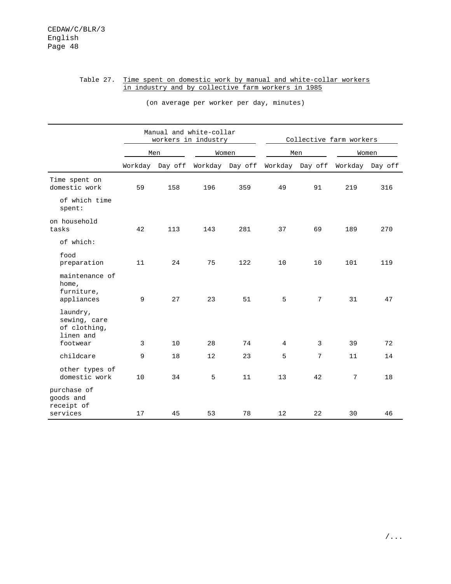## Table 27. Time spent on domestic work by manual and white-collar workers in industry and by collective farm workers in 1985

|                                                       |    |                 | Manual and white-collar<br>workers in industry |                 | Collective farm workers |                 |         |         |
|-------------------------------------------------------|----|-----------------|------------------------------------------------|-----------------|-------------------------|-----------------|---------|---------|
|                                                       |    | Men             |                                                | Women           |                         | Men             |         | Women   |
|                                                       |    | Workday Day off |                                                | Workday Day off |                         | Workday Day off | Workday | Day off |
| Time spent on<br>domestic work                        | 59 | 158             | 196                                            | 359             | 49                      | 91              | 219     | 316     |
| of which time<br>$s$ pent:                            |    |                 |                                                |                 |                         |                 |         |         |
| on household<br>tasks                                 | 42 | 113             | 143                                            | 281             | 37                      | 69              | 189     | 270     |
| of which:                                             |    |                 |                                                |                 |                         |                 |         |         |
| food<br>preparation                                   | 11 | 24              | 75                                             | 122             | 10                      | 10              | 101     | 119     |
| maintenance of<br>home,<br>furniture,<br>appliances   | 9  | 27              | 23                                             | 51              | 5                       | 7               | 31      | 47      |
| laundry,<br>sewing, care<br>of clothing,<br>linen and |    |                 |                                                |                 |                         |                 |         |         |
| footwear                                              | 3  | 10              | 28                                             | 74              | $\overline{4}$          | 3               | 39      | 72      |
| childcare                                             | 9  | 18              | 12                                             | 23              | 5                       | 7               | 11      | 14      |
| other types of<br>domestic work                       | 10 | 34              | 5                                              | 11              | 13                      | 42              | 7       | 18      |
| purchase of<br>goods and<br>receipt of                |    |                 |                                                |                 |                         |                 |         |         |
| services                                              | 17 | 45              | 53                                             | 78              | 12                      | 22              | 30      | 46      |

(on average per worker per day, minutes)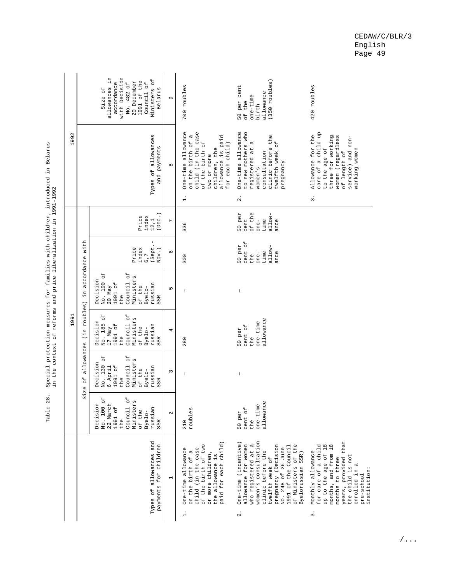|      |                         | n.<br>with Decision<br>1991 of the<br>No. 482 of<br>20 December<br>accordance<br>Council of<br>allowances<br>Size of             | Ministers of<br>Belarus                          | G                        | 700 roubles                                                                                                                                                               | $(350$ roubles)<br>50 per cent<br>allowance<br>$one-time$<br>of the<br>birth                                                                                                                                                                                          | 420 roubles                                                                                                                                                                                                                 |
|------|-------------------------|----------------------------------------------------------------------------------------------------------------------------------|--------------------------------------------------|--------------------------|---------------------------------------------------------------------------------------------------------------------------------------------------------------------------|-----------------------------------------------------------------------------------------------------------------------------------------------------------------------------------------------------------------------------------------------------------------------|-----------------------------------------------------------------------------------------------------------------------------------------------------------------------------------------------------------------------------|
| 1992 |                         |                                                                                                                                  | Types of allowances<br>and payments              | ${}^{\infty}$            | child (in the case<br>One-time allowance<br>on the birth of a<br>allowance is paid<br>of the birth of<br>for each child)<br>children, the<br>two or more<br>$\frac{1}{1}$ | One-time allowance<br>to new mothers who<br>clinic before the<br><b>Q</b><br>twelfth week of<br>registered at<br>consultation<br>pregnancy<br>women's<br>$\ddot{\Omega}$                                                                                              | a child up<br>Allowance for the<br>women (regardless<br>three for working<br>service) and non-<br>working women<br>to the age of<br>of length of<br>care of<br>$\ddot{\varepsilon}$                                         |
|      |                         | index<br>Price                                                                                                                   | (Dec. )<br>12, 1                                 | $\overline{ }$           | 336                                                                                                                                                                       | 50 per<br>of the<br>allow-<br>time<br>cent<br>one-<br>ance                                                                                                                                                                                                            |                                                                                                                                                                                                                             |
|      |                         | Price<br>index<br>6,7                                                                                                            | I<br>(Sept.<br>$Nov.$ )                          | $\circ$                  | 300                                                                                                                                                                       | cent of<br>50 per<br>allow-<br>time<br>ance<br>$one-$<br>the                                                                                                                                                                                                          |                                                                                                                                                                                                                             |
|      | in accordance with      | No. 190 of<br>Council of<br>Ministers<br>Decision<br>1991 of<br>of the<br>$20$ May<br>Byelo-<br>the                              | russian<br>SSR                                   | LN                       |                                                                                                                                                                           |                                                                                                                                                                                                                                                                       |                                                                                                                                                                                                                             |
| 1991 | allowances (in roubles) | No. 185 of<br>ЪÓ<br>Ministers<br>Decision<br>Council<br>1991 of<br>of the<br>17 May<br>Byelo-<br>the                             | russian<br>SSR                                   | 4                        | 280                                                                                                                                                                       | allowance<br>$one-time$<br>cent of<br>50 per<br>the                                                                                                                                                                                                                   |                                                                                                                                                                                                                             |
|      | $\overline{a}$<br>S1ze  | No. 130 of<br>$\rm ^6$<br>Ministers<br>Decision<br>Council<br>1991 of<br>6 April<br>of the<br>Byelo-<br>the                      | russian<br>SSR                                   | $\sim$                   | $\overline{\phantom{a}}$                                                                                                                                                  | $\begin{array}{c} \end{array}$                                                                                                                                                                                                                                        |                                                                                                                                                                                                                             |
|      |                         | ЪО<br>$\overline{5}$<br>$\sigma$<br>Decision<br>22 March<br>Minister<br>No. 100<br>1991 of<br>Council<br>of the<br>Byelo-<br>the | russian<br>SSR                                   | $\sim$                   | roubles<br>210                                                                                                                                                            | allowance<br>$one-time$<br>cent of<br>50 per<br>the                                                                                                                                                                                                                   |                                                                                                                                                                                                                             |
|      |                         |                                                                                                                                  | Types of allowances and<br>payments for children | $\overline{\phantom{0}}$ | paid for each child)<br>of the birth of two<br>child (in the case<br>One-time allowance<br>on the birth of a<br>or more children,<br>the allowance is<br>$\ddot{ }$       | women's consultation<br>One-time (incentive)<br>allowance for women<br>who registered at a<br>pregnancy (Decision<br>of Ministers of the<br>1991 of the Council<br>No. 248 of 26 June<br>clinic before the<br>Byelorussian SSR)<br>twelfth week of<br>$\ddot{\Omega}$ | years, provided that<br>up to the age of 18<br>months, and from 18<br>for care of a child<br>Monthly allowance<br>the child is not<br>months to three<br>enrolled in a<br>institution:<br>pre-school<br>$\ddot{\mathrm{s}}$ |

Special protection measures for families with children, introduced in Belarus<br>in the context of reforms and price liberalization in 1991-1992 Table 28. Special protection measures for families with children, introduced in Belarus in the context of reforms and price liberalization in 1991-1992 Table 28.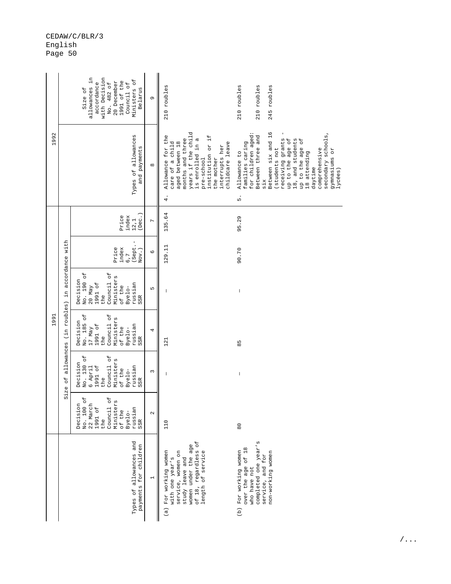|      |                         | allowances in<br>with Decision<br>Ministers of<br>20 December<br>1991 of the<br>accordance<br>No. 482 of<br>Council of<br>Size of<br>Belarus    | G                        | 210 roubles                                                                                                                                                                                                                 | 210 roubles<br>210 roubles<br>245 roubles                                                                                                                                                                                                                                                                           |
|------|-------------------------|-------------------------------------------------------------------------------------------------------------------------------------------------|--------------------------|-----------------------------------------------------------------------------------------------------------------------------------------------------------------------------------------------------------------------------|---------------------------------------------------------------------------------------------------------------------------------------------------------------------------------------------------------------------------------------------------------------------------------------------------------------------|
| 1992 |                         | Types of allowances<br>and payments                                                                                                             | ${}^{\infty}$            | years if the child<br>Allowance for the<br>$\ddot{1}$<br>months and three<br>is enrolled in a<br>care of a child<br>aged between 18<br>childcare leave<br>institution or<br>interrupts her<br>pre-school<br>the mother<br>4 | Between six and 16<br>secondary schools,<br>for children aged<br>Between three and<br>receiving grants<br>up to the age of<br>18, and students<br>up to the age of<br>families caring<br>(students not<br>comprehensive<br>gymnasiums or<br>Allowance to<br>18 attending<br>daytime<br>$1yc$ ées)<br>$\sin x$<br>5. |
|      |                         | (Dec. )<br>Price<br>index<br>12, 1                                                                                                              | $\overline{ }$           | 135.64                                                                                                                                                                                                                      | 95.29                                                                                                                                                                                                                                                                                                               |
|      |                         | J.<br>(Sept.<br>Price<br>index<br>Nov.)<br>6,7                                                                                                  | $\circ$                  | 129.11                                                                                                                                                                                                                      | 90.70                                                                                                                                                                                                                                                                                                               |
|      | in accordance with      | No. 190 of<br>Council of<br>Ministers<br>Decision<br>1991 of<br>russian<br>$20$ May<br>of the<br>Byelo-<br>the<br>SSR                           | LN                       | $\overline{\phantom{a}}$                                                                                                                                                                                                    | $\begin{array}{c} \end{array}$                                                                                                                                                                                                                                                                                      |
| 1991 | allowances (in roubles) | No. 185 of<br>Council of<br>Ministers<br>Decision<br>1991 of<br>russian<br>17 May<br>of the<br>Byelo-<br>the<br>SSR                             | 4                        | 121                                                                                                                                                                                                                         | 85                                                                                                                                                                                                                                                                                                                  |
|      | Size of                 | Council of<br>No. 130 of<br>Ministers<br>Decision<br>6 April<br>1991 of<br>russian<br>of the<br>Byelo-<br>the<br>SSR.                           | $\sim$                   | $\mathsf{I}$                                                                                                                                                                                                                | $\begin{array}{c} \end{array}$                                                                                                                                                                                                                                                                                      |
|      |                         | $\overline{t}$<br>Council of<br>Ministers<br>Decision<br>22 March<br>No. 100<br>Council<br>1991 of<br>russian<br>of the<br>Byelo-<br>the<br>SSR | $\mathbf{\Omega}$        | 110                                                                                                                                                                                                                         | $\overline{8}$                                                                                                                                                                                                                                                                                                      |
|      |                         | Types of allowances and<br>payments for children                                                                                                | $\overline{\phantom{0}}$ | of 18, regardless of<br>women under the age<br>(a) For working women<br>length of service<br>service, women on<br>with one year's<br>study leave and                                                                        | completed one year's<br>over the age of 18<br>(b) For working women<br>non-working women<br>service, and for<br>who have not                                                                                                                                                                                        |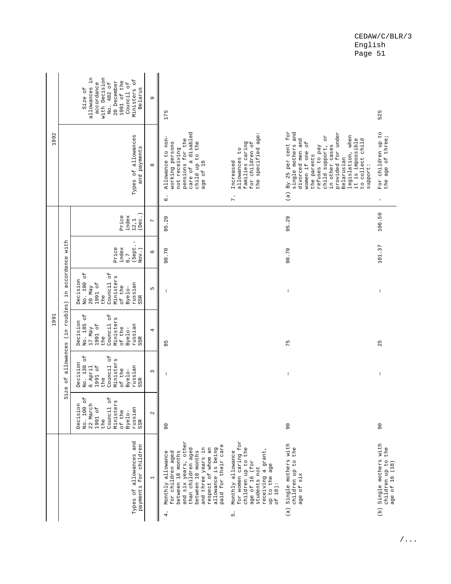|      |                                 | allowances in<br>with Decision<br>$\overline{C}$<br>1991 of the<br>20 December<br>accordance<br>No. 482 of<br>Council of<br>Belarus<br>Size of<br>Ministers      | Ō                        | 175                                                                                                                                                                                                                                   |                                                                                                                                                             |                                                                                                                                                                                                                                                                                                      | 525                                                                |
|------|---------------------------------|------------------------------------------------------------------------------------------------------------------------------------------------------------------|--------------------------|---------------------------------------------------------------------------------------------------------------------------------------------------------------------------------------------------------------------------------------|-------------------------------------------------------------------------------------------------------------------------------------------------------------|------------------------------------------------------------------------------------------------------------------------------------------------------------------------------------------------------------------------------------------------------------------------------------------------------|--------------------------------------------------------------------|
| 1992 |                                 | Types of allowances<br>and payments                                                                                                                              | ${}^{\infty}$            | care of a disabled<br>Allowance to non-<br>pensions for the<br>working persons<br>child up to the<br>not receiving<br>age of 16<br>.<br>ق                                                                                             | the specified age:<br>caring<br>for children of<br>allowances to<br>Increased<br>families<br>$\mathbf{r}$ .                                                 | (a) By 25 per cent for<br>single mothers and<br>provided for under<br>legislation, when<br><b>ZO</b><br>divorced men and<br>it is impossible<br>to collect child<br>$\overline{a}$<br>child support,<br>in other cases<br>refuses to pay<br>one<br>the parents<br>Belarusian<br>women if<br>support: | For children up to<br>the age of three;<br>$\mathbf I$             |
|      |                                 | (Dec. )<br>Price<br>index<br>12, 1                                                                                                                               | $\overline{ }$           | 95.29                                                                                                                                                                                                                                 |                                                                                                                                                             | 95.29                                                                                                                                                                                                                                                                                                | 106.50                                                             |
|      |                                 | т<br>(Sept.-<br>Price<br>index<br>Nov.)<br>6,7                                                                                                                   | $\circ$                  | 90.70                                                                                                                                                                                                                                 |                                                                                                                                                             | 90.70                                                                                                                                                                                                                                                                                                | 101.37                                                             |
|      | in accordance with              | No. 190 of<br>Council of<br>Ministers<br>Decision<br>1991 of<br>russian<br>of the<br>$20$ May<br>Byelo-<br>the<br>SSR                                            | LN.                      | I                                                                                                                                                                                                                                     |                                                                                                                                                             | $\overline{\phantom{a}}$                                                                                                                                                                                                                                                                             |                                                                    |
| 1991 | Size of allowances (in roubles) | Council of<br>No. 185 of<br>Ministers<br>Decision<br>1991 of<br>russian<br>17 May<br>of the<br>Byelo-<br>the<br>SSR                                              | 4                        | 85                                                                                                                                                                                                                                    |                                                                                                                                                             | 75                                                                                                                                                                                                                                                                                                   | 25                                                                 |
|      |                                 | No. 130 of<br>Council of<br>Ministers<br>Decision<br>6 April<br>1991 of<br>russian<br>of the<br>Byelo-<br>the<br>SSR                                             | $\sim$                   | I                                                                                                                                                                                                                                     |                                                                                                                                                             | $\begin{array}{c} \end{array}$                                                                                                                                                                                                                                                                       |                                                                    |
|      |                                 | $\overline{\phantom{a}}^{\phantom{a}}$<br>er ¤<br>Decision<br>22 March<br>Minister<br>No. 100<br>1991 of<br>russian<br>Council<br>of the<br>Byelo-<br>the<br>SSR | $\sim$                   | $\overline{8}$                                                                                                                                                                                                                        |                                                                                                                                                             | $\overline{0}$                                                                                                                                                                                                                                                                                       | $\overline{0}$                                                     |
|      |                                 | Types of allowances and<br>payments for children                                                                                                                 | $\overline{\phantom{0}}$ | and six years, other<br>paid for their care<br>than children aged<br>respect of whom an<br>allowance is being<br>and three years in<br>between 18 months<br>between 18 months<br>Monthly allowance<br>for children aged<br>$\ddot{ }$ | for women caring for<br>children up to the<br>receiving a grant<br>Monthly allowance<br>age of 16 (for<br>up to the age<br>students not<br>of $18$ ):<br>5. | (a) Single mothers with<br>children up to the<br>age of six                                                                                                                                                                                                                                          | (b) Single mothers with<br>the<br>children up to<br>age of 16 (18) |

/...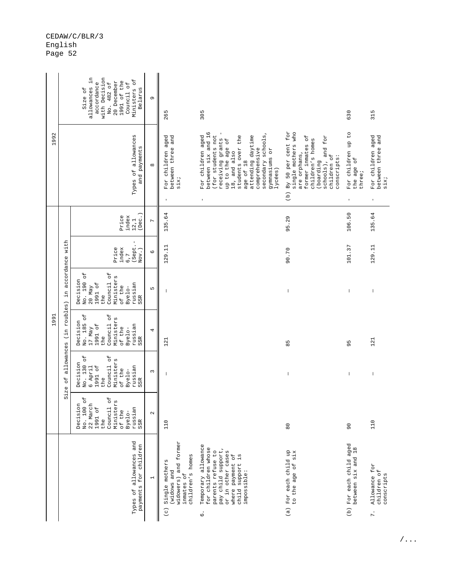| No. 130 of<br>Council of<br>Ministers<br>Decision<br>6 April<br>1991 of<br>russian<br>of the<br>Byelo-<br>the<br>SSR<br>Size<br>No. 100 of<br>Council of<br>Ministers<br>22 March<br>Decision<br>1991 of<br>russian<br>of the<br>Byelo-<br>the<br>SSR |
|-------------------------------------------------------------------------------------------------------------------------------------------------------------------------------------------------------------------------------------------------------|
| $\sim$                                                                                                                                                                                                                                                |
| 110                                                                                                                                                                                                                                                   |
|                                                                                                                                                                                                                                                       |
| $\overline{8}$                                                                                                                                                                                                                                        |
| $\overline{0}$                                                                                                                                                                                                                                        |
| 110                                                                                                                                                                                                                                                   |

/...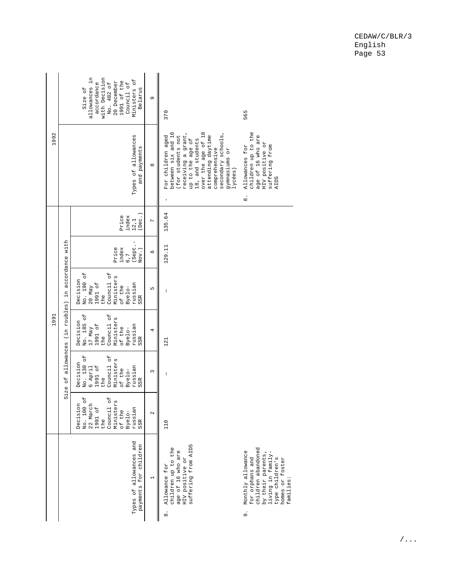|      |                                            | allowances in<br>with Decision<br>Ministers of<br>1991 of the<br>20 December<br>accordance<br>No. 482 of<br>Council of<br>Belarus<br>Size of                                   | G              | 370<br>565                                                                                                                                                                                                                                                                                                                                                                                                                                                                                                                                                                                                                                                                                                                                                        |
|------|--------------------------------------------|--------------------------------------------------------------------------------------------------------------------------------------------------------------------------------|----------------|-------------------------------------------------------------------------------------------------------------------------------------------------------------------------------------------------------------------------------------------------------------------------------------------------------------------------------------------------------------------------------------------------------------------------------------------------------------------------------------------------------------------------------------------------------------------------------------------------------------------------------------------------------------------------------------------------------------------------------------------------------------------|
| 1992 |                                            | Types of allowances<br>and payments                                                                                                                                            | $\infty$       | between six and 16<br>over the age of 18<br>children up to the<br>receiving a grant,<br>secondary schools,<br>age of 16 who are<br>For children aged<br>(for students not<br>attending daytime<br>18, and students<br>up to the age of<br>HIV positive or<br>suffering from<br>Allowances for<br>comprehensive<br>gymnasiums or<br>$1yc$ ées)<br><b>AIDS</b><br>$\dot{\circ}$<br>$\begin{array}{c} \rule{0pt}{2.5ex} \rule{0pt}{2.5ex} \rule{0pt}{2.5ex} \rule{0pt}{2.5ex} \rule{0pt}{2.5ex} \rule{0pt}{2.5ex} \rule{0pt}{2.5ex} \rule{0pt}{2.5ex} \rule{0pt}{2.5ex} \rule{0pt}{2.5ex} \rule{0pt}{2.5ex} \rule{0pt}{2.5ex} \rule{0pt}{2.5ex} \rule{0pt}{2.5ex} \rule{0pt}{2.5ex} \rule{0pt}{2.5ex} \rule{0pt}{2.5ex} \rule{0pt}{2.5ex} \rule{0pt}{2.5ex} \rule{0$ |
|      |                                            | (Dec.<br>Price<br>index<br>12, 1                                                                                                                                               | $\overline{a}$ | 135.64                                                                                                                                                                                                                                                                                                                                                                                                                                                                                                                                                                                                                                                                                                                                                            |
|      |                                            | (Sept.-<br>Price<br>index<br>Nov.)<br>6,7                                                                                                                                      | $\circ$        | 129.11                                                                                                                                                                                                                                                                                                                                                                                                                                                                                                                                                                                                                                                                                                                                                            |
|      | allowances (in roubles) in accordance with | No. 190 of<br>Council of<br>Ministers<br>Decision<br>1991 of<br>russian<br>$20$ May<br>of the<br>Byelo-<br>the<br>S <sub>SR</sub>                                              | LN             | $\sf I$                                                                                                                                                                                                                                                                                                                                                                                                                                                                                                                                                                                                                                                                                                                                                           |
| 1991 |                                            | No. 185 of<br>Council of<br>Ministers<br>Decision<br>1991 of<br>russian<br>17 May<br>of the<br>Byelo-<br>the<br>SSR                                                            | 4              | 121                                                                                                                                                                                                                                                                                                                                                                                                                                                                                                                                                                                                                                                                                                                                                               |
|      | Size of                                    | No. 130 of<br>Council of<br>Ministers<br>Decision<br>1991 of<br>6 April<br>russian<br>of the<br>Byelo-<br>the<br>SSR                                                           | $\sim$         | $\begin{array}{c} \rule{0pt}{2.5ex} \rule{0pt}{2.5ex} \rule{0pt}{2.5ex} \rule{0pt}{2.5ex} \rule{0pt}{2.5ex} \rule{0pt}{2.5ex} \rule{0pt}{2.5ex} \rule{0pt}{2.5ex} \rule{0pt}{2.5ex} \rule{0pt}{2.5ex} \rule{0pt}{2.5ex} \rule{0pt}{2.5ex} \rule{0pt}{2.5ex} \rule{0pt}{2.5ex} \rule{0pt}{2.5ex} \rule{0pt}{2.5ex} \rule{0pt}{2.5ex} \rule{0pt}{2.5ex} \rule{0pt}{2.5ex} \rule{0$                                                                                                                                                                                                                                                                                                                                                                                  |
|      |                                            | $\overline{\mathsf{C}}$<br>$\overline{a}$<br>$\mathfrak{g}$<br>Decision<br>No. 100<br>22 March<br>Minister<br>Council<br>1991 of<br>russian<br>of the<br>Byelo-<br>the<br>SSR. | $\sim$         | 110                                                                                                                                                                                                                                                                                                                                                                                                                                                                                                                                                                                                                                                                                                                                                               |
|      |                                            | Types of allowances and<br>payments for children                                                                                                                               | $\overline{ }$ | suffering from AIDS<br>children up to the<br>children abandoned<br>Monthly allowance<br>age of 16 who are<br>by their parents,<br>living in family<br>for orphans and<br>type children's<br>HIV positive or<br>homes or foster<br>Allowance for<br>families:<br>$\ddot{\circ}$<br>ൎ                                                                                                                                                                                                                                                                                                                                                                                                                                                                               |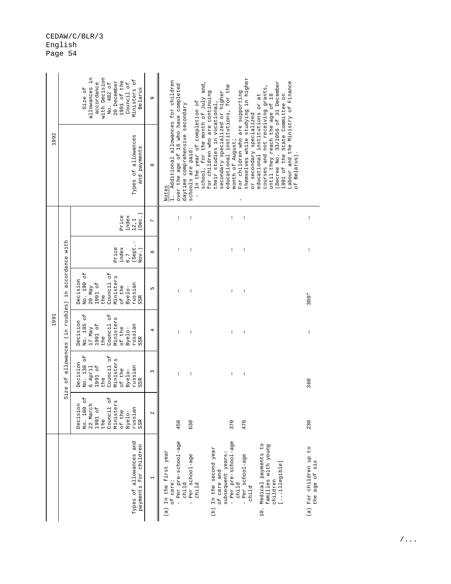|      | allowances in<br>with Decision<br>Ministers of<br>1991 of the<br>20 December<br>accordance<br>No. 482 of<br>Council of<br>Size of<br>Belarus<br>Types of allowances<br>and payments |                                                                                                                                          |                          |                                                                                                                                                                                                                                                                                                                                                                                                                                                                                                                                                                                                                                                                                                                                                                 |                                          |
|------|-------------------------------------------------------------------------------------------------------------------------------------------------------------------------------------|------------------------------------------------------------------------------------------------------------------------------------------|--------------------------|-----------------------------------------------------------------------------------------------------------------------------------------------------------------------------------------------------------------------------------------------------------------------------------------------------------------------------------------------------------------------------------------------------------------------------------------------------------------------------------------------------------------------------------------------------------------------------------------------------------------------------------------------------------------------------------------------------------------------------------------------------------------|------------------------------------------|
| 1992 |                                                                                                                                                                                     |                                                                                                                                          |                          | themselves while studying in higher<br>Additional allowances for children<br>Labour and the Ministry of Finance<br>(Decree No. 33/1056 of 31 December<br>school, for the month of July and,<br>over the age of 16 who have completed<br>educational institutions, for the<br>courses and not receiving grants,<br>for children who are continuing<br>secondary specialized or higher<br>For children who are supporting<br>until they reach the age of 18<br>1991 of the State Committee on<br>educational institutions or at<br>In the year of completion of<br>their studies in vocational,<br>daytime comprehensive secondary<br>or secondary specialized<br>month of August;<br>schools are paid:<br>of Belarus).<br>Notes<br>$\frac{1}{11}$<br>$\mathsf I$ |                                          |
|      | accordance with<br>roubles) in<br>allowances (in<br>$\overline{d}$<br>S1ze                                                                                                          | Dec.<br>Price<br>index<br>12,1                                                                                                           | $\overline{ }$           | L<br>$\vert$<br>$\begin{array}{c} \end{array}$<br>$\overline{\phantom{a}}$                                                                                                                                                                                                                                                                                                                                                                                                                                                                                                                                                                                                                                                                                      | $\begin{array}{c} \hline \end{array}$    |
|      |                                                                                                                                                                                     | (Sept.-<br>index<br>Price<br>$Nov.$ )<br>6,7                                                                                             | $\circ$                  | $\begin{array}{c} \hline \end{array}$<br>I<br>I<br>I                                                                                                                                                                                                                                                                                                                                                                                                                                                                                                                                                                                                                                                                                                            | $\mid$                                   |
|      |                                                                                                                                                                                     | No. 190 of<br>Council of<br>Ministers<br>Decision<br>1991 of<br>russian<br>of the<br>$20$ May<br>Byelo-<br>the<br>SSR                    | Б                        | $\begin{array}{c} \hline \end{array}$<br>ı                                                                                                                                                                                                                                                                                                                                                                                                                                                                                                                                                                                                                                                                                                                      | 300*                                     |
| 1991 |                                                                                                                                                                                     | No. 185 of<br>Council of<br>Ministers<br>Decision<br>1991 of<br>russian<br>of the<br>17 May<br>Byelo-<br>the<br>SSR                      | 4                        | I<br>$\overline{\phantom{a}}$<br>$\mathsf I$<br>$\overline{\phantom{a}}$                                                                                                                                                                                                                                                                                                                                                                                                                                                                                                                                                                                                                                                                                        | $\begin{array}{c} \end{array}$           |
|      |                                                                                                                                                                                     | No. 130 of<br>Council of<br>Ministers<br>Decision<br>1991 of<br>6 April<br>russian<br>of the<br>Byelo-<br>the<br>SSR                     | $\sim$                   | $\begin{array}{c} \end{array}$<br>$\mathsf I$<br>$\begin{array}{c} \hline \end{array}$<br>I                                                                                                                                                                                                                                                                                                                                                                                                                                                                                                                                                                                                                                                                     | 360                                      |
|      |                                                                                                                                                                                     | $\overline{C}$<br>ЪÓ<br>Ministers<br>Decision<br>22 March<br>No. 100<br>1991 of<br>Council<br>russian<br>of the<br>Byelo-<br>the<br>SSR. | $\mathbf{\sim}$          | 450<br>370<br>630<br>470                                                                                                                                                                                                                                                                                                                                                                                                                                                                                                                                                                                                                                                                                                                                        | 230                                      |
|      |                                                                                                                                                                                     | Types of allowances and<br>payments for children                                                                                         | $\overline{\phantom{0}}$ | - Per pre-school-age<br>- Per pre-school-age<br>10. Medical payments to<br>families with young<br>(b) In the second year<br>(a) In the first year<br>subsequent years:<br>Per school-age<br>- Per school-age<br>[illegible]<br>of care and<br>children<br>of care:<br>child<br>child<br>child<br>child<br>$\overline{1}$                                                                                                                                                                                                                                                                                                                                                                                                                                        | (a) For children up to<br>the age of six |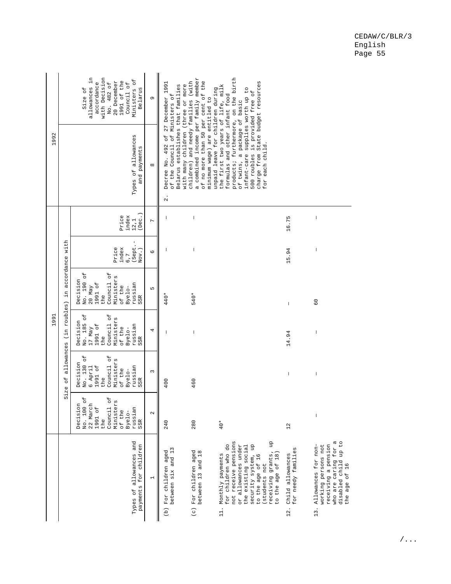|      | allowances in<br>with Decision<br>Ministers of<br>1991 of the<br>20 December<br>accordance<br><sup>o</sup> t<br>Council of<br>Size of<br>Belarus<br>No. 482<br>Types of allowances<br>and payments |                                                                                                                                   |                          | 492 of 27 December 1991                                                                                                                                                                                                                                                                                                                                                                                                                                                                                                                              | and needy families (with<br>of the         | supplies worth up to                                                                                                                                                                                                                          |                                               |                                                                                                                                        |
|------|----------------------------------------------------------------------------------------------------------------------------------------------------------------------------------------------------|-----------------------------------------------------------------------------------------------------------------------------------|--------------------------|------------------------------------------------------------------------------------------------------------------------------------------------------------------------------------------------------------------------------------------------------------------------------------------------------------------------------------------------------------------------------------------------------------------------------------------------------------------------------------------------------------------------------------------------------|--------------------------------------------|-----------------------------------------------------------------------------------------------------------------------------------------------------------------------------------------------------------------------------------------------|-----------------------------------------------|----------------------------------------------------------------------------------------------------------------------------------------|
| 1992 |                                                                                                                                                                                                    |                                                                                                                                   |                          | products; furthermore, on the birth<br>a combined income per family member<br>charge from State budget resources<br>Belarus establishes that families<br>with many children (three or more<br>the first two years of life, milk<br>unpaid leave for children during<br>500 roubles is provided free of<br>formulas and other infant food<br>of the Council of Ministers of<br>minimum wage) are entitled to<br>a package of basic<br>of no more than 50 per cent<br>for each child.<br>infant-care<br>Decree No.<br>of twins,<br>children)<br>$\sim$ |                                            |                                                                                                                                                                                                                                               |                                               |                                                                                                                                        |
|      |                                                                                                                                                                                                    | (Dec.)<br>Price<br>index<br>12, 1                                                                                                 | $\overline{ }$           |                                                                                                                                                                                                                                                                                                                                                                                                                                                                                                                                                      | $\overline{\phantom{a}}$                   |                                                                                                                                                                                                                                               | 16.75                                         | T                                                                                                                                      |
|      |                                                                                                                                                                                                    | (Sept.<br>Price<br>index<br>Nov.)<br>6,7                                                                                          | $\circ$                  |                                                                                                                                                                                                                                                                                                                                                                                                                                                                                                                                                      | $\overline{\phantom{a}}$                   |                                                                                                                                                                                                                                               | 15.94                                         | $\overline{\phantom{a}}$                                                                                                               |
|      |                                                                                                                                                                                                    | No. 190 of<br>Council of<br>Ministers<br>Decision<br>1991 of<br>russian<br>$20$ May<br>of the<br>Byelo-<br>the<br>S <sub>SR</sub> | LŊ                       | 440*                                                                                                                                                                                                                                                                                                                                                                                                                                                                                                                                                 | 540*                                       |                                                                                                                                                                                                                                               | I                                             | $\rm ^{\circ}$                                                                                                                         |
| 1991 | allowances (in roubles) in accordance with                                                                                                                                                         | No. 185 of<br>Council of<br>Ministers<br>Decision<br>1991 of<br>russian<br>17 May<br>of the<br>Byelo-<br>the<br>SSR               | 4                        |                                                                                                                                                                                                                                                                                                                                                                                                                                                                                                                                                      | $\overline{\phantom{a}}$                   |                                                                                                                                                                                                                                               | 14.94                                         | $\overline{\phantom{a}}$                                                                                                               |
|      | $\sigma_{\rm L}$                                                                                                                                                                                   | No. 130 of<br>Council of<br>Ministers<br>Decision<br>1991 of<br>russian<br>6 April<br>of the<br>Byelo-<br>the<br>SSR              | 3                        | 400                                                                                                                                                                                                                                                                                                                                                                                                                                                                                                                                                  | 460                                        |                                                                                                                                                                                                                                               | I                                             | $\mathsf I$                                                                                                                            |
|      | S1ze                                                                                                                                                                                               | No. 100 of<br>Council of<br>Decision<br>22 March<br>Ministers<br>1991 of<br>russian<br>of the<br>Byelo-<br>the<br>SSR             | $\mathbf{\Omega}$        | 240                                                                                                                                                                                                                                                                                                                                                                                                                                                                                                                                                  | 280                                        | $40*$                                                                                                                                                                                                                                         | 12                                            | $\mathsf I$                                                                                                                            |
|      |                                                                                                                                                                                                    | Types of allowances and<br>payments for children                                                                                  | $\overline{\phantom{0}}$ | between six and 13<br>(b) For children aged                                                                                                                                                                                                                                                                                                                                                                                                                                                                                                          | (c) For children aged<br>between 13 and 18 | not receive pensions<br>qu<br>for children who do<br>security system, up<br>or allowances under<br>the existing social<br>receiving grants,<br>to the age of 18)<br>Monthly payments<br>to the age of 16<br>(students not<br>$\frac{1}{11}$ . | for needy families<br>Child allowances<br>12. | who are caring for a<br>disabled child up to<br>13. Allowances for non-<br>receiving a pension<br>working persons not<br>the age of 16 |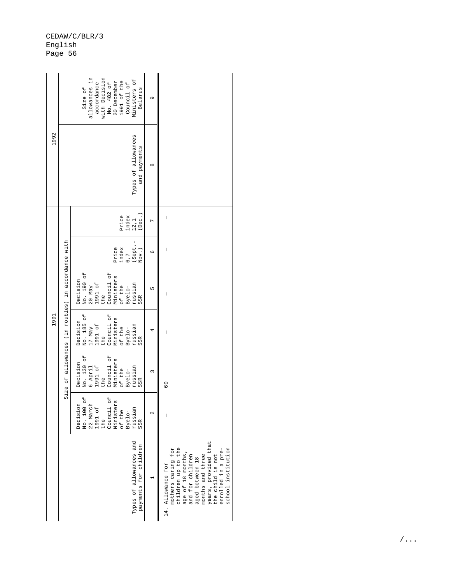| 1992 |                                                    | allowances in<br>with Decision<br>Ministers of<br>No. 482 of<br>20 December<br>1991 of the<br>accordance<br>Council of<br>Size of<br>Belarus                         | G                 |                                                                                                                                                                                                                                                                                                                                                                                                                |
|------|----------------------------------------------------|----------------------------------------------------------------------------------------------------------------------------------------------------------------------|-------------------|----------------------------------------------------------------------------------------------------------------------------------------------------------------------------------------------------------------------------------------------------------------------------------------------------------------------------------------------------------------------------------------------------------------|
|      |                                                    | Types of allowances<br>and payments                                                                                                                                  | $\infty$          |                                                                                                                                                                                                                                                                                                                                                                                                                |
| 1991 | Size of allowances (in roubles) in accordance with | :Dec.<br>Price<br>index<br>12, 1                                                                                                                                     | $\overline{C}$    | $\begin{array}{c} \rule{0pt}{2ex} \rule{0pt}{2ex} \rule{0pt}{2ex} \rule{0pt}{2ex} \rule{0pt}{2ex} \rule{0pt}{2ex} \rule{0pt}{2ex} \rule{0pt}{2ex} \rule{0pt}{2ex} \rule{0pt}{2ex} \rule{0pt}{2ex} \rule{0pt}{2ex} \rule{0pt}{2ex} \rule{0pt}{2ex} \rule{0pt}{2ex} \rule{0pt}{2ex} \rule{0pt}{2ex} \rule{0pt}{2ex} \rule{0pt}{2ex} \rule{0pt}{2ex} \rule{0pt}{2ex} \rule{0pt}{2ex} \rule{0pt}{2ex} \rule{0pt}{$ |
|      |                                                    | (Sept.<br>$int_{6.7}$<br>Price<br>Nov.)                                                                                                                              | $\circ$           | I                                                                                                                                                                                                                                                                                                                                                                                                              |
|      |                                                    | No. 190 of<br>Council of<br>Ministers<br>Decision<br>$20$ May<br>1991 of<br>russian<br>of the<br>Byelo-<br>the<br>SSR                                                | Б                 | I                                                                                                                                                                                                                                                                                                                                                                                                              |
|      |                                                    | No. 185 of<br>Council of<br>Ministers<br>Decision<br>17 May<br>1991 of<br>russian<br>of the<br>Byelo-<br>the<br>SSR                                                  | 4                 | $\begin{array}{c} \rule{0pt}{2.5ex} \rule{0pt}{2.5ex} \rule{0pt}{2.5ex} \rule{0pt}{2.5ex} \rule{0pt}{2.5ex} \rule{0pt}{2.5ex} \rule{0pt}{2.5ex} \rule{0pt}{2.5ex} \rule{0pt}{2.5ex} \rule{0pt}{2.5ex} \rule{0pt}{2.5ex} \rule{0pt}{2.5ex} \rule{0pt}{2.5ex} \rule{0pt}{2.5ex} \rule{0pt}{2.5ex} \rule{0pt}{2.5ex} \rule{0pt}{2.5ex} \rule{0pt}{2.5ex} \rule{0pt}{2.5ex} \rule{0$                               |
|      |                                                    | No. 130 of<br>Council of<br>Ministers<br>Decision<br>1991 of<br>6 April<br>russian<br>of the<br>Byelo-<br>the<br>SSR                                                 | 3                 | $\overline{6}$                                                                                                                                                                                                                                                                                                                                                                                                 |
|      |                                                    | Decision<br>No. 100 of<br>Council of<br>Ministers<br>$\begin{array}{c} 22 \text{ March} \\ 1991 \text{ of} \end{array}$<br>russian<br>of the<br>Byelo-<br>the<br>SSR | $\mathbf{\Omega}$ |                                                                                                                                                                                                                                                                                                                                                                                                                |
|      |                                                    | Types of allowances and<br>payments for children                                                                                                                     |                   | years, provided that<br>the child is not<br>children up to the<br>mothers caring for<br>school institution<br>enrolled in a pre-<br>age of 18 months,<br>and for children<br>aged between 18<br>months and three<br>14. Allowance for                                                                                                                                                                          |